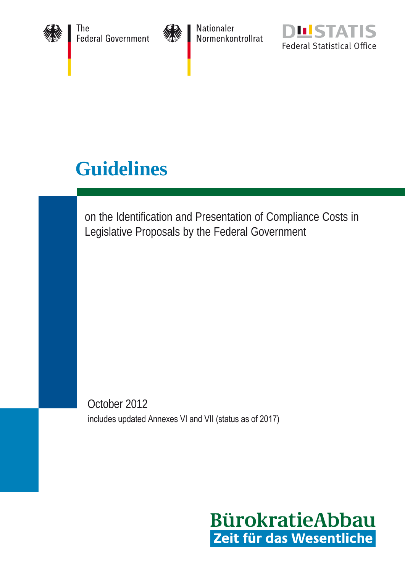

The The<br>Federal Government



Nationaler<br>Normenkontrollrat



# **Guidelines**

on the Identification and Presentation of Compliance Costs in Legislative Proposals by the Federal Government

October 2012 includes updated Annexes VI and VII (status as of 2017)

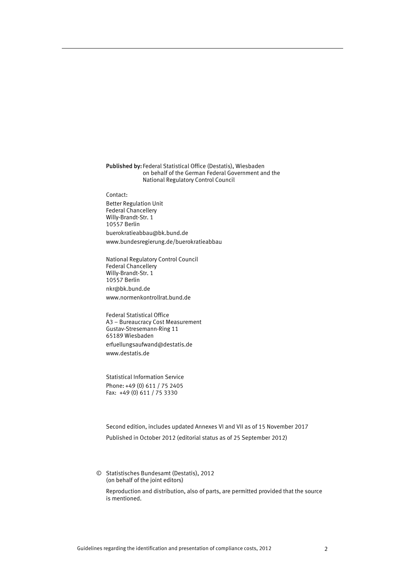#### Published by: Federal Statistical Office (Destatis), Wiesbaden on behalf of the German Federal Government and the National Regulatory Control Council

Contact: Better Regulation Unit Federal Chancellery Willy-Brandt-Str. 1 10557 Berlin

buerokratieabbau@bk.bund.de www.bundesregierung.de/buerokratieabbau

National Regulatory Control Council Federal Chancellery Willy-Brandt-Str. 1 10557 Berlin nkr@bk.bund.de www.normenkontrollrat.bund.de

Federal Statistical Office A3 – Bureaucracy Cost Measurement Gustav-Stresemann-Ring 11 65189 Wiesbaden erfuellungsaufwand@destatis.de [www.destatis.de](http://www.destatis.de/)

Statistical Information Service Phone: +49 (0) 611 / 75 2405 Fax: +49 (0) 611 / 75 3330

Second edition, includes updated Annexes VI and VII as of 15 November 2017 Published in October 2012 (editorial status as of 25 September 2012)

© Statistisches Bundesamt (Destatis), 2012 (on behalf of the joint editors) Reproduction and distribution, also of parts, are permitted provided that the source is mentioned.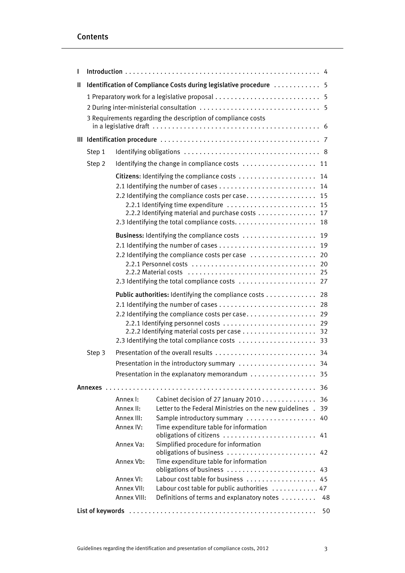# Contents

| L |                                                                                      |             |                                                                                                                                         |                      |  |  |
|---|--------------------------------------------------------------------------------------|-------------|-----------------------------------------------------------------------------------------------------------------------------------------|----------------------|--|--|
| Ш | Identification of Compliance Costs during legislative procedure  5                   |             |                                                                                                                                         |                      |  |  |
|   | 3 Requirements regarding the description of compliance costs                         |             |                                                                                                                                         |                      |  |  |
|   |                                                                                      |             |                                                                                                                                         |                      |  |  |
|   | Step 1                                                                               |             |                                                                                                                                         |                      |  |  |
|   | Step 2                                                                               |             | Identifying the change in compliance costs  11                                                                                          |                      |  |  |
|   |                                                                                      |             | Citizens: Identifying the compliance costs                                                                                              | 14                   |  |  |
|   |                                                                                      |             | 2.2 Identifying the compliance costs per case 15<br>2.2.1 Identifying time expenditure<br>2.2.2 Identifying material and purchase costs | 14<br>15<br>17<br>18 |  |  |
|   |                                                                                      |             | Business: Identifying the compliance costs                                                                                              | 19                   |  |  |
|   | 2.1 Identifying the number of cases<br>2.2 Identifying the compliance costs per case |             |                                                                                                                                         |                      |  |  |
|   |                                                                                      |             | Public authorities: Identifying the compliance costs 28                                                                                 |                      |  |  |
|   |                                                                                      |             | 2.2 Identifying the compliance costs per case 29<br>2.3 Identifying the total compliance costs  33                                      |                      |  |  |
|   | Step 3                                                                               |             |                                                                                                                                         |                      |  |  |
|   |                                                                                      |             | Presentation in the introductory summary  34                                                                                            |                      |  |  |
|   |                                                                                      |             | Presentation in the explanatory memorandum $\ldots \ldots \ldots \ldots$ 35                                                             |                      |  |  |
|   |                                                                                      |             |                                                                                                                                         |                      |  |  |
|   |                                                                                      | Annex I:    | Cabinet decision of 27 January 2010 36                                                                                                  |                      |  |  |
|   |                                                                                      | Annex II:   | Letter to the Federal Ministries on the new guidelines . 39                                                                             |                      |  |  |
|   |                                                                                      | Annex III:  | Sample introductory summary                                                                                                             | 40                   |  |  |
|   |                                                                                      | Annex IV:   | Time expenditure table for information                                                                                                  |                      |  |  |
|   |                                                                                      | Annex Va:   | Simplified procedure for information<br>obligations of business                                                                         | 42                   |  |  |
|   |                                                                                      | Annex Vb:   | Time expenditure table for information<br>obligations of business  43                                                                   |                      |  |  |
|   |                                                                                      | Annex VI:   | Labour cost table for business  45                                                                                                      |                      |  |  |
|   |                                                                                      | Annex VII:  | Labour cost table for public authorities  47                                                                                            |                      |  |  |
|   |                                                                                      | Annex VIII: | Definitions of terms and explanatory notes                                                                                              | 48                   |  |  |
|   |                                                                                      |             |                                                                                                                                         | -50                  |  |  |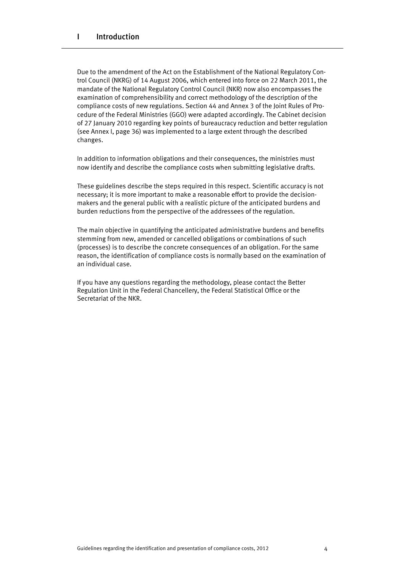Due to the amendment of the Act on the Establishment of the National Regulatory Control Council (NKRG) of 14 August 2006, which entered into force on 22 March 2011, the mandate of the National Regulatory Control Council (NKR) now also encompasses the examination of comprehensibility and correct methodology of the description of the compliance costs of new regulations. Section 44 and Annex 3 of the Joint Rules of Procedure of the Federal Ministries (GGO) were adapted accordingly. The Cabinet decision of 27 January 2010 regarding key points of bureaucracy reduction and better regulation (see Annex I, page 36) was implemented to a large extent through the described changes.

In addition to information obligations and their consequences, the ministries must now identify and describe the compliance costs when submitting legislative drafts*.* 

These guidelines describe the steps required in this respect. Scientific accuracy is not necessary; it is more important to make a reasonable effort to provide the decisionmakers and the general public with a realistic picture of the anticipated burdens and burden reductions from the perspective of the addressees of the regulation.

The main objective in quantifying the anticipated administrative burdens and benefits stemming from new, amended or cancelled obligations or combinations of such (processes) is to describe the concrete consequences of an obligation. For the same reason, the identification of compliance costs is normally based on the examination of an individual case.

If you have any questions regarding the methodology, please contact the Better Regulation Unit in the Federal Chancellery, the Federal Statistical Office or the Secretariat of the NKR.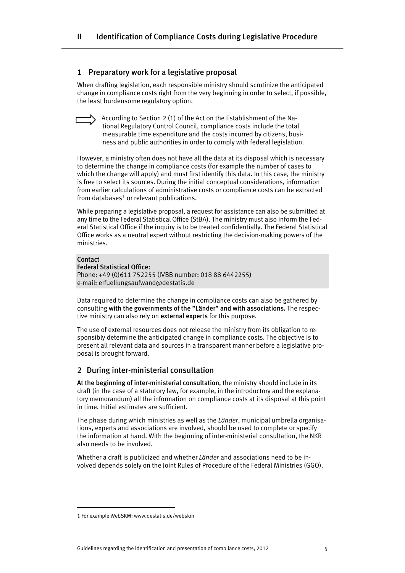# 1 Preparatory work for a legislative proposal

When drafting legislation, each responsible ministry should scrutinize the anticipated change in compliance costs right from the very beginning in order to select, if possible, the least burdensome regulatory option.

According to Section 2 (1) of the Act on the Establishment of the National Regulatory Control Council, compliance costs include the total measurable time expenditure and the costs incurred by citizens, business and public authorities in order to comply with federal legislation.

However, a ministry often does not have all the data at its disposal which is necessary to determine the change in compliance costs (for example the number of cases to which the change will apply) and must first identify this data. In this case, the ministry is free to select its sources. During the initial conceptual considerations, information from earlier calculations of administrative costs or compliance costs can be extracted from databases $^1$  $^1$  or relevant publications.

While preparing a legislative proposal, a request for assistance can also be submitted at any time to the Federal Statistical Office (StBA). The ministry must also inform the Federal Statistical Office if the inquiry is to be treated confidentially. The Federal Statistical Office works as a neutral expert without restricting the decision-making powers of the ministries.

# Contact

# Federal Statistical Office:

Phone: +49 (0)611 752255 (IVBB number: 018 88 6442255) e-mail: [erfuellungsaufwand@destatis.de](mailto:erfuellungsaufwand@destatis.de)

Data required to determine the change in compliance costs can also be gathered by consulting with the governments of the "Länder" and with associations. The respective ministry can also rely on external experts for this purpose.

The use of external resources does not release the ministry from its obligation to responsibly determine the anticipated change in compliance costs. The objective is to present all relevant data and sources in a transparent manner before a legislative proposal is brought forward.

# 2 During inter-ministerial consultation

At the beginning of inter-ministerial consultation, the ministry should include in its draft (in the case of a statutory law, for example, in the introductory and the explanatory memorandum) all the information on compliance costs at its disposal at this point in time. Initial estimates are sufficient.

The phase during which ministries as well as the *Länder*, municipal umbrella organisations, experts and associations are involved, should be used to complete or specify the information at hand. With the beginning of inter-ministerial consultation, the NKR also needs to be involved.

Whether a draft is publicized and whether *Länder* and associations need to be involved depends solely on the Joint Rules of Procedure of the Federal Ministries (GGO).

<span id="page-4-0"></span><sup>1</sup> For example WebSKM: www.destatis.de/webskm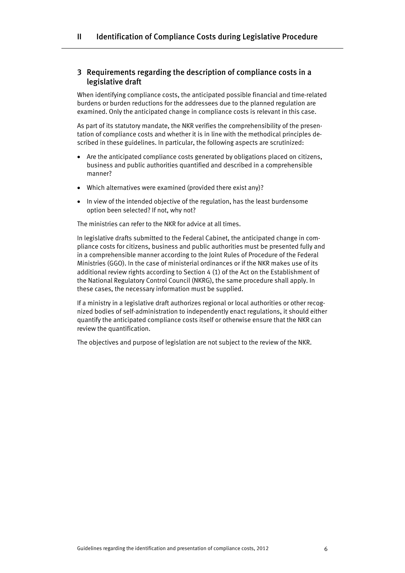# 3 Requirements regarding the description of compliance costs in a legislative draft

When identifying compliance costs, the anticipated possible financial and time-related burdens or burden reductions for the addressees due to the planned regulation are examined. Only the anticipated change in compliance costs is relevant in this case.

As part of its statutory mandate, the NKR verifies the comprehensibility of the presentation of compliance costs and whether it is in line with the methodical principles described in these guidelines. In particular, the following aspects are scrutinized:

- Are the anticipated compliance costs generated by obligations placed on citizens, business and public authorities quantified and described in a comprehensible manner?
- Which alternatives were examined (provided there exist any)?
- In view of the intended objective of the regulation, has the least burdensome option been selected? If not, why not?

The ministries can refer to the NKR for advice at all times.

In legislative drafts submitted to the Federal Cabinet, the anticipated change in compliance costs for citizens, business and public authorities must be presented fully and in a comprehensible manner according to the Joint Rules of Procedure of the Federal Ministries (GGO). In the case of ministerial ordinances or if the NKR makes use of its additional review rights according to Section 4 (1) of the Act on the Establishment of the National Regulatory Control Council (NKRG), the same procedure shall apply. In these cases, the necessary information must be supplied.

If a ministry in a legislative draft authorizes regional or local authorities or other recognized bodies of self-administration to independently enact regulations, it should either quantify the anticipated compliance costs itself or otherwise ensure that the NKR can review the quantification.

The objectives and purpose of legislation are not subject to the review of the NKR.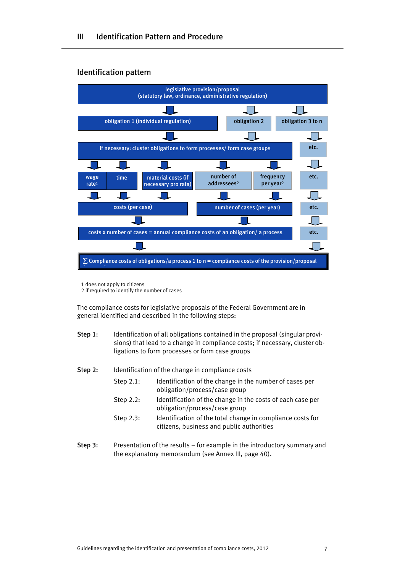# Identification pattern



1 does not apply to citizens

2 if required to identify the number of cases

The compliance costs for legislative proposals of the Federal Government are in general identified and described in the following steps:

- Step 1: Identification of all obligations contained in the proposal (singular provisions) that lead to a change in compliance costs; if necessary, cluster obligations to form processes or form case groups
- Step 2: Identification of the change in compliance costs
	- Step 2.1: Identification of the change in the number of cases per obligation/process/case group
	- Step 2.2: Identification of the change in the costs of each case per obligation/process/case group
	- Step 2.3: Identification of the total change in compliance costs for citizens, business and public authorities
- Step 3: Presentation of the results for example in the introductory summary and the explanatory memorandum (see Annex III, page 40).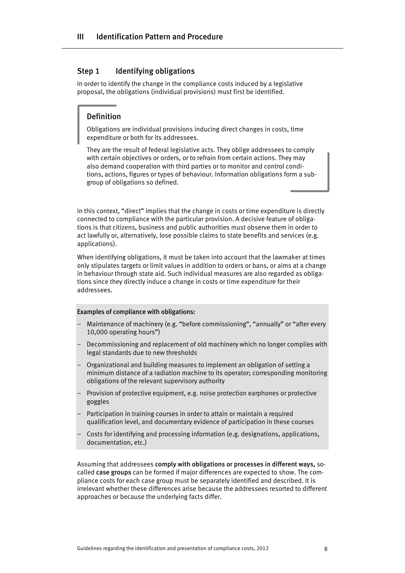# Step 1 Identifying obligations

In order to identify the change in the compliance costs induced by a legislative proposal, the obligations (individual provisions) must first be identified.

# Definition

Obligations are individual provisions inducing direct changes in costs, time expenditure or both for its addressees.

They are the result of federal legislative acts. They oblige addressees to comply with certain objectives or orders, or to refrain from certain actions. They may also demand cooperation with third parties or to monitor and control conditions, actions, figures or types of behaviour. Information obligations form a subgroup of obligations so defined.

In this context, "direct" implies that the change in costs or time expenditure is directly connected to compliance with the particular provision. A decisive feature of obligations is that citizens, business and public authorities must observe them in order to act lawfully or, alternatively, lose possible claims to state benefits and services (e.g. applications).

When identifying obligations, it must be taken into account that the lawmaker at times only stipulates targets or limit values in addition to orders or bans, or aims at a change in behaviour through state aid. Such individual measures are also regarded as obligations since they directly induce a change in costs or time expenditure for their addressees.

#### Examples of compliance with obligations:

- Maintenance of machinery (e.g. "before commissioning", "annually" or "after every 10,000 operating hours")
- Decommissioning and replacement of old machinery which no longer complies with legal standards due to new thresholds
- Organizational and building measures to implement an obligation of setting a minimum distance of a radiation machine to its operator; corresponding monitoring obligations of the relevant supervisory authority
- Provision of protective equipment, e.g. noise protection earphones or protective goggles
- Participation in training courses in order to attain or maintain a required qualification level, and documentary evidence of participation in these courses
- Costs for identifying and processing information (e.g. designations, applications, documentation, etc.)

Assuming that addressees comply with obligations or processes in different ways, socalled case groups can be formed if major differences are expected to show. The compliance costs for each case group must be separately identified and described. It is irrelevant whether these differences arise because the addressees resorted to different approaches or because the underlying facts differ.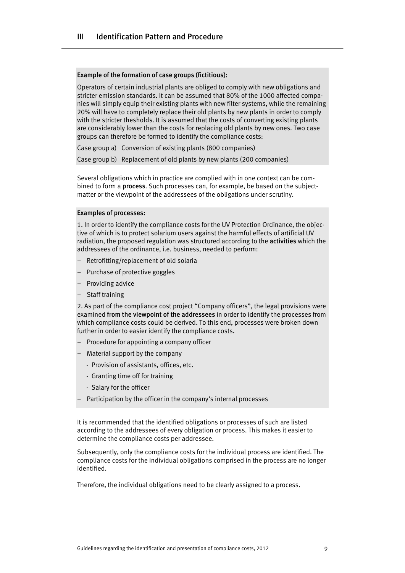#### Example of the formation of case groups (fictitious):

Operators of certain industrial plants are obliged to comply with new obligations and stricter emission standards. It can be assumed that 80% of the 1000 affected companies will simply equip their existing plants with new filter systems, while the remaining 20% will have to completely replace their old plants by new plants in order to comply with the stricter thesholds. It is assumed that the costs of converting existing plants are considerably lower than the costs for replacing old plants by new ones. Two case groups can therefore be formed to identify the compliance costs:

Case group a) Conversion of existing plants (800 companies)

Case group b) Replacement of old plants by new plants (200 companies)

Several obligations which in practice are complied with in one context can be combined to form a process. Such processes can, for example, be based on the subjectmatter or the viewpoint of the addressees of the obligations under scrutiny.

# Examples of processes:

1. In order to identify the compliance costs for the UV Protection Ordinance, the objective of which is to protect solarium users against the harmful effects of artificial UV radiation, the proposed regulation was structured according to the activities which the addressees of the ordinance, i.e. business, needed to perform:

- Retrofitting/replacement of old solaria
- Purchase of protective goggles
- Providing advice
- Staff training

2. As part of the compliance cost project "Company officers", the legal provisions were examined from the viewpoint of the addressees in order to identify the processes from which compliance costs could be derived. To this end, processes were broken down further in order to easier identify the compliance costs.

- Procedure for appointing a company officer
- Material support by the company
	- Provision of assistants, offices, etc.
	- Granting time off for training
	- Salary for the officer
- Participation by the officer in the company's internal processes

It is recommended that the identified obligations or processes of such are listed according to the addressees of every obligation or process. This makes it easier to determine the compliance costs per addressee.

Subsequently, only the compliance costs for the individual process are identified. The compliance costs for the individual obligations comprised in the process are no longer identified.

Therefore, the individual obligations need to be clearly assigned to a process.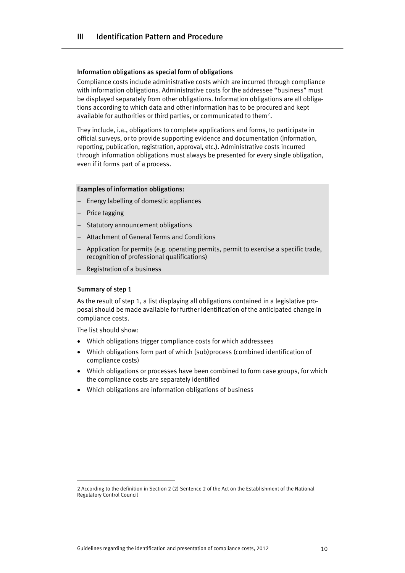# Information obligations as special form of obligations

Compliance costs include administrative costs which are incurred through compliance with information obligations. Administrative costs for the addressee "business" must be displayed separately from other obligations. Information obligations are all obligations according to which data and other information has to be procured and kept available for authorities or third parties, or communicated to them<sup>[2](#page-9-0)</sup>.

They include, i.a., obligations to complete applications and forms, to participate in official surveys, or to provide supporting evidence and documentation (information, reporting, publication, registration, approval, etc.). Administrative costs incurred through information obligations must always be presented for every single obligation, even if it forms part of a process.

# Examples of information obligations:

- Energy labelling of domestic appliances
- Price tagging
- Statutory announcement obligations
- Attachment of General Terms and Conditions
- Application for permits (e.g. operating permits, permit to exercise a specific trade, recognition of professional qualifications)
- Registration of a business

# Summary of step 1

As the result of step 1, a list displaying all obligations contained in a legislative proposal should be made available for further identification of the anticipated change in compliance costs.

The list should show:

- Which obligations trigger compliance costs for which addressees
- Which obligations form part of which (sub)process (combined identification of compliance costs)
- Which obligations or processes have been combined to form case groups, for which the compliance costs are separately identified
- Which obligations are information obligations of business

<span id="page-9-0"></span><sup>2</sup> According to the definition in Section 2 (2) Sentence 2 of the Act on the Establishment of the National Regulatory Control Council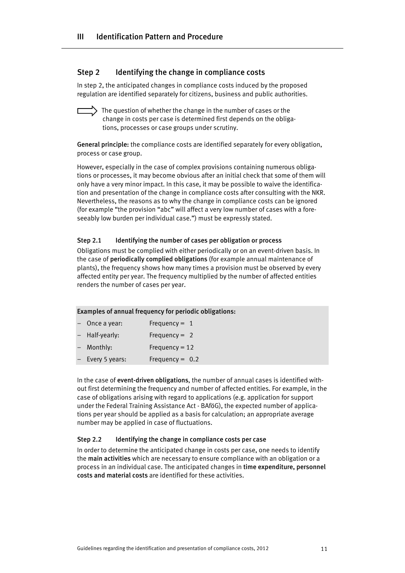# Step 2 Identifying the change in compliance costs

In step 2, the anticipated changes in compliance costs induced by the proposed regulation are identified separately for citizens, business and public authorities.

The question of whether the change in the number of cases or the change in costs per case is determined first depends on the obligations, processes or case groups under scrutiny.

General principle: the compliance costs are identified separately for every obligation, process or case group.

However, especially in the case of complex provisions containing numerous obligations or processes, it may become obvious after an initial check that some of them will only have a very minor impact. In this case, it may be possible to waive the identification and presentation of the change in compliance costs after consulting with the NKR. Nevertheless, the reasons as to why the change in compliance costs can be ignored (for example "the provision "abc" will affect a very low number of cases with a foreseeably low burden per individual case.") must be expressly stated.

# Step 2.1 Identifying the number of cases per obligation or process

Obligations must be complied with either periodically or on an event-driven basis. In the case of periodically complied obligations (for example annual maintenance of plants), the frequency shows how many times a provision must be observed by every affected entity per year. The frequency multiplied by the number of affected entities renders the number of cases per year.

# Examples of annual frequency for periodic obligations:

| - Once a year:   | Frequency = $1$   |
|------------------|-------------------|
| - Half-yearly:   | Frequency = $2$   |
| - Monthly:       | Frequency = $12$  |
| - Every 5 years: | Frequency = $0.2$ |

In the case of event-driven obligations, the number of annual cases is identified without first determining the frequency and number of affected entities. For example, in the case of obligations arising with regard to applications (e.g. application for support under the Federal Training Assistance Act - BAföG), the expected number of applications per year should be applied as a basis for calculation; an appropriate average number may be applied in case of fluctuations.

# Step 2.2 Identifying the change in compliance costs per case

In order to determine the anticipated change in costs per case, one needs to identify the main activities which are necessary to ensure compliance with an obligation or a process in an individual case. The anticipated changes in time expenditure, personnel costs and material costs are identified for these activities.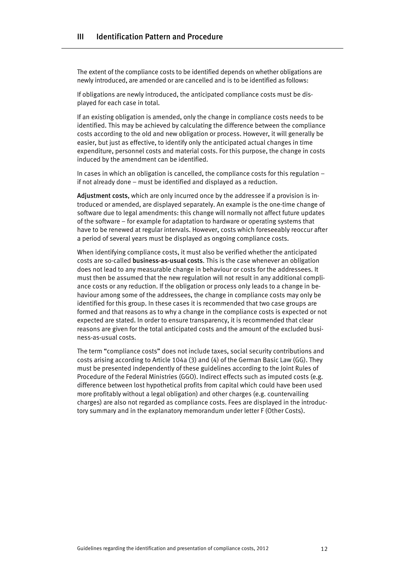The extent of the compliance costs to be identified depends on whether obligations are newly introduced, are amended or are cancelled and is to be identified as follows:

If obligations are newly introduced, the anticipated compliance costs must be displayed for each case in total.

If an existing obligation is amended, only the change in compliance costs needs to be identified. This may be achieved by calculating the difference between the compliance costs according to the old and new obligation or process. However, it will generally be easier, but just as effective, to identify only the anticipated actual changes in time expenditure, personnel costs and material costs. For this purpose, the change in costs induced by the amendment can be identified.

In cases in which an obligation is cancelled, the compliance costs for this regulation – if not already done – must be identified and displayed as a reduction.

Adjustment costs, which are only incurred once by the addressee if a provision is introduced or amended, are displayed separately. An example is the one-time change of software due to legal amendments: this change will normally not affect future updates of the software – for example for adaptation to hardware or operating systems that have to be renewed at regular intervals. However, costs which foreseeably reoccur after a period of several years must be displayed as ongoing compliance costs.

When identifying compliance costs, it must also be verified whether the anticipated costs are so-called business-as-usual costs. This is the case whenever an obligation does not lead to any measurable change in behaviour or costs for the addressees. It must then be assumed that the new regulation will not result in any additional compliance costs or any reduction. If the obligation or process only leads to a change in behaviour among some of the addressees, the change in compliance costs may only be identified for this group. In these cases it is recommended that two case groups are formed and that reasons as to why a change in the compliance costs is expected or not expected are stated. In order to ensure transparency, it is recommended that clear reasons are given for the total anticipated costs and the amount of the excluded business-as-usual costs.

The term "compliance costs" does not include taxes, social security contributions and costs arising according to Article 104a (3) and (4) of the German Basic Law (GG). They must be presented independently of these guidelines according to the Joint Rules of Procedure of the Federal Ministries (GGO). Indirect effects such as imputed costs (e.g. difference between lost hypothetical profits from capital which could have been used more profitably without a legal obligation) and other charges (e.g. countervailing charges) are also not regarded as compliance costs. Fees are displayed in the introductory summary and in the explanatory memorandum under letter F (Other Costs).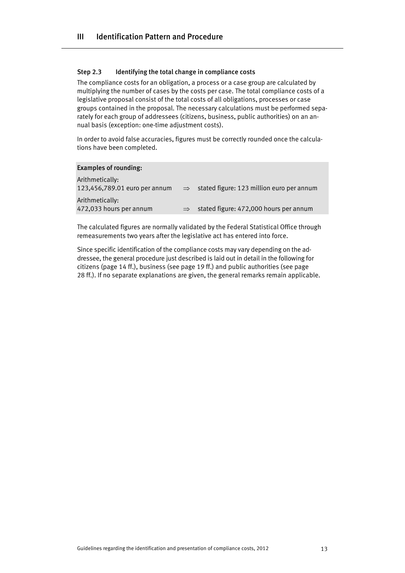# Step 2.3 Identifying the total change in compliance costs

The compliance costs for an obligation, a process or a case group are calculated by multiplying the number of cases by the costs per case. The total compliance costs of a legislative proposal consist of the total costs of all obligations, processes or case groups contained in the proposal. The necessary calculations must be performed separately for each group of addressees (citizens, business, public authorities) on an annual basis (exception: one-time adjustment costs).

In order to avoid false accuracies, figures must be correctly rounded once the calculations have been completed.

#### Examples of rounding:

| $\Rightarrow$ | stated figure: 123 million euro per annum |
|---------------|-------------------------------------------|
|               |                                           |
|               | stated figure: 472,000 hours per annum    |
|               |                                           |

The calculated figures are normally validated by the Federal Statistical Office through remeasurements two years after the legislative act has entered into force.

Since specific identification of the compliance costs may vary depending on the addressee, the general procedure just described is laid out in detail in the following for citizens (page 14 ff.), business (see page 19 ff.) and public authorities (see page 28 ff.). If no separate explanations are given, the general remarks remain applicable.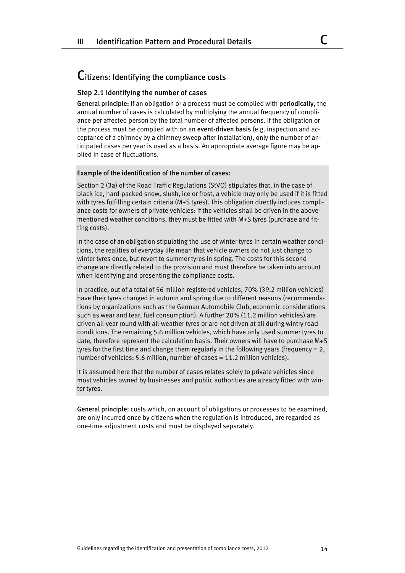# Citizens: Identifying the compliance costs

# Step 2.1 Identifying the number of cases

General principle: if an obligation or a process must be complied with periodically, the annual number of cases is calculated by multiplying the annual frequency of compliance per affected person by the total number of affected persons. If the obligation or the process must be complied with on an event-driven basis (e.g. inspection and acceptance of a chimney by a chimney sweep after installation), only the number of anticipated cases per year is used as a basis. An appropriate average figure may be applied in case of fluctuations.

#### Example of the identification of the number of cases:

Section 2 (3a) of the Road Traffic Regulations (StVO) stipulates that, in the case of black ice, hard-packed snow, slush, ice or frost, a vehicle may only be used if it is fitted with tyres fulfilling certain criteria (M+S tyres). This obligation directly induces compliance costs for owners of private vehicles: if the vehicles shall be driven in the abovementioned weather conditions, they must be fitted with M+S tyres (purchase and fitting costs).

In the case of an obligation stipulating the use of winter tyres in certain weather conditions, the realities of everyday life mean that vehicle owners do not just change to winter tyres once, but revert to summer tyres in spring. The costs for this second change are directly related to the provision and must therefore be taken into account when identifying and presenting the compliance costs.

In practice, out of a total of 56 million registered vehicles, 70% (39.2 million vehicles) have their tyres changed in autumn and spring due to different reasons (recommendations by organizations such as the German Automobile Club, economic considerations such as wear and tear, fuel consumption). A further 20% (11.2 million vehicles) are driven all-year round with all-weather tyres or are not driven at all during wintry road conditions. The remaining 5.6 million vehicles, which have only used summer tyres to date, therefore represent the calculation basis. Their owners will have to purchase M+S tyres for the first time and change them regularly in the following years (frequency  $= 2$ , number of vehicles: 5.6 million, number of cases = 11.2 million vehicles).

It is assumed here that the number of cases relates solely to private vehicles since most vehicles owned by businesses and public authorities are already fitted with winter tyres.

General principle: costs which, on account of obligations or processes to be examined, are only incurred once by citizens when the regulation is introduced, are regarded as one-time adjustment costs and must be displayed separately.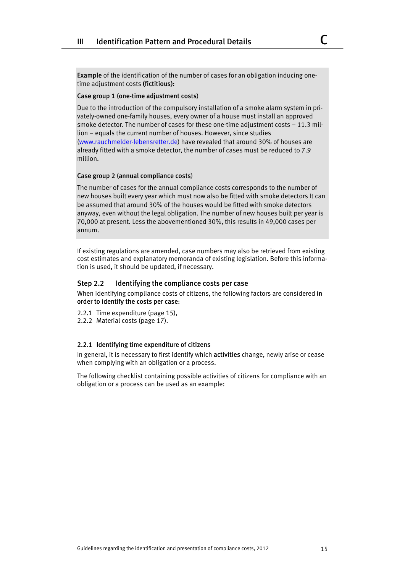Example of the identification of the number of cases for an obligation inducing onetime adjustment costs (fictitious):

# Case group 1 (one-time adjustment costs)

Due to the introduction of the compulsory installation of a smoke alarm system in privately-owned one-family houses, every owner of a house must install an approved smoke detector. The number of cases for these one-time adjustment costs  $-11.3$  million – equals the current number of houses. However, since studies ([www.rauchmelder-lebensretter.de](http://www.rauchmelder-lebensretter.de/)) have revealed that around 30% of houses are already fitted with a smoke detector, the number of cases must be reduced to 7.9 million.

## Case group 2 (annual compliance costs)

The number of cases for the annual compliance costs corresponds to the number of new houses built every year which must now also be fitted with smoke detectors It can be assumed that around 30% of the houses would be fitted with smoke detectors anyway, even without the legal obligation. The number of new houses built per year is 70,000 at present. Less the abovementioned 30%, this results in 49,000 cases per annum.

If existing regulations are amended, case numbers may also be retrieved from existing cost estimates and explanatory memoranda of existing legislation. Before this information is used, it should be updated, if necessary.

# Step 2.2 Identifying the compliance costs per case

When identifying compliance costs of citizens, the following factors are considered in order to identify the costs per case:

- 2.2.1 Time expenditure (page 15),
- 2.2.2 Material costs (page 17).

#### 2.2.1 Identifying time expenditure of citizens

In general, it is necessary to first identify which activities change, newly arise or cease when complying with an obligation or a process.

The following checklist containing possible activities of citizens for compliance with an obligation or a process can be used as an example: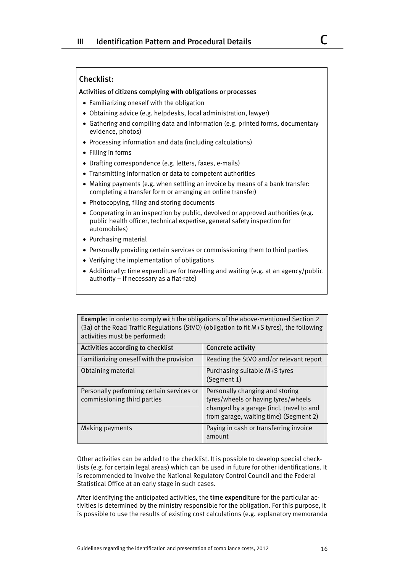# Checklist:

#### Activities of citizens complying with obligations or processes

- Familiarizing oneself with the obligation
- Obtaining advice (e.g. helpdesks, local administration, lawyer)
- Gathering and compiling data and information (e.g. printed forms, documentary evidence, photos)
- Processing information and data (including calculations)
- Filling in forms
- Drafting correspondence (e.g. letters, faxes, e-mails)
- Transmitting information or data to competent authorities
- Making payments (e.g. when settling an invoice by means of a bank transfer: completing a transfer form or arranging an online transfer)
- Photocopying, filing and storing documents
- Cooperating in an inspection by public, devolved or approved authorities (e.g. public health officer, technical expertise, general safety inspection for automobiles)
- Purchasing material
- Personally providing certain services or commissioning them to third parties
- Verifying the implementation of obligations
- Additionally: time expenditure for travelling and waiting (e.g. at an agency/public authority – if necessary as a flat-rate)

Example: in order to comply with the obligations of the above-mentioned Section 2 (3a) of the Road Traffic Regulations (StVO) (obligation to fit M+S tyres), the following activities must be performed:

| Activities according to checklist                                        | <b>Concrete activity</b>                                                                                                                                     |
|--------------------------------------------------------------------------|--------------------------------------------------------------------------------------------------------------------------------------------------------------|
| Familiarizing oneself with the provision                                 | Reading the StVO and/or relevant report                                                                                                                      |
| Obtaining material                                                       | Purchasing suitable M+S tyres<br>(Segment 1)                                                                                                                 |
| Personally performing certain services or<br>commissioning third parties | Personally changing and storing<br>tyres/wheels or having tyres/wheels<br>changed by a garage (incl. travel to and<br>from garage, waiting time) (Segment 2) |
| Making payments                                                          | Paying in cash or transferring invoice<br>amount                                                                                                             |

Other activities can be added to the checklist. It is possible to develop special checklists (e.g. for certain legal areas) which can be used in future for other identifications. It is recommended to involve the National Regulatory Control Council and the Federal Statistical Office at an early stage in such cases.

After identifying the anticipated activities, the time expenditure for the particular activities is determined by the ministry responsible for the obligation. For this purpose, it is possible to use the results of existing cost calculations (e.g. explanatory memoranda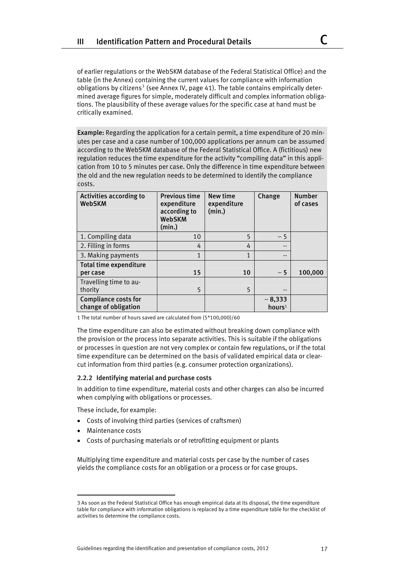of earlier regulations or the WebSKM database of the Federal Statistical Office) and the table (in the Annex) containing the current values for compliance with information obligations by citizens<sup>[3](#page-16-0)</sup> (see Annex IV, page 41). The table contains empirically determined average figures for simple, moderately difficult and complex information obligations. The plausibility of these average values for the specific case at hand must be critically examined.

Example: Regarding the application for a certain permit, a time expenditure of 20 minutes per case and a case number of 100,000 applications per annum can be assumed according to the WebSKM database of the Federal Statistical Office. A (fictitious) new regulation reduces the time expenditure for the activity "compiling data" in this application from 10 to 5 minutes per case. Only the difference in time expenditure between the old and the new regulation needs to be determined to identify the compliance costs.

| Activities according to<br><b>WebSKM</b>            | <b>Previous time</b><br>expenditure<br>according to<br><b>WebSKM</b><br>(min.) | New time<br>expenditure<br>(min.) | Change                         | <b>Number</b><br>of cases |
|-----------------------------------------------------|--------------------------------------------------------------------------------|-----------------------------------|--------------------------------|---------------------------|
| 1. Compiling data                                   | 10                                                                             | 5                                 | $-5$                           |                           |
| 2. Filling in forms                                 | 4                                                                              | 4                                 | --                             |                           |
| 3. Making payments                                  | $\overline{1}$                                                                 | $\mathbf{1}$                      | $- -$                          |                           |
| <b>Total time expenditure</b>                       |                                                                                |                                   |                                |                           |
| per case                                            | 15                                                                             | 10                                | $-5$                           | 100,000                   |
| Travelling time to au-                              |                                                                                |                                   |                                |                           |
| thority                                             | 5                                                                              | 5                                 | $- -$                          |                           |
| <b>Compliance costs for</b><br>change of obligation |                                                                                |                                   | $-8,333$<br>hours <sup>1</sup> |                           |

1 The total number of hours saved are calculated from (5\*100,000)/60

The time expenditure can also be estimated without breaking down compliance with the provision or the process into separate activities. This is suitable if the obligations or processes in question are not very complex or contain few regulations, or if the total time expenditure can be determined on the basis of validated empirical data or clearcut information from third parties (e.g. consumer protection organizations).

#### 2.2.2 Identifying material and purchase costs

In addition to time expenditure, material costs and other charges can also be incurred when complying with obligations or processes.

These include, for example:

- Costs of involving third parties (services of craftsmen)
- Maintenance costs
- Costs of purchasing materials or of retrofitting equipment or plants

Multiplying time expenditure and material costs per case by the number of cases yields the compliance costs for an obligation or a process or for case groups.

<span id="page-16-0"></span><sup>3</sup> As soon as the Federal Statistical Office has enough empirical data at its disposal, the time expenditure table for compliance with information obligations is replaced by a time expenditure table for the checklist of activities to determine the compliance costs.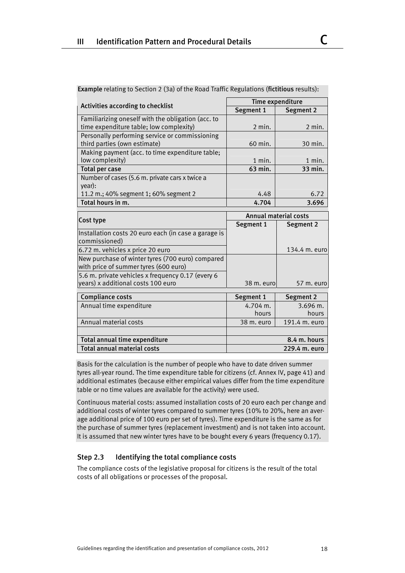| Activities according to checklist                                                         | Time expenditure             |                  |  |
|-------------------------------------------------------------------------------------------|------------------------------|------------------|--|
|                                                                                           | Segment 1                    | Segment 2        |  |
| Familiarizing oneself with the obligation (acc. to                                        |                              |                  |  |
| time expenditure table; low complexity)                                                   | $2$ min.                     | 2 min.           |  |
| Personally performing service or commissioning                                            |                              |                  |  |
| third parties (own estimate)                                                              | 60 min.                      | 30 min.          |  |
| Making payment (acc. to time expenditure table;                                           |                              |                  |  |
| low complexity)                                                                           | $1$ min.                     | $1$ min.         |  |
| <b>Total per case</b>                                                                     | 63 min.                      | 33 min.          |  |
| Number of cases (5.6 m. private cars x twice a                                            |                              |                  |  |
| year):                                                                                    |                              |                  |  |
| 11.2 m.; 40% segment 1; 60% segment 2                                                     | 4.48                         | 6.72             |  |
| Total hours in m.                                                                         | 4.704                        | 3.696            |  |
|                                                                                           |                              |                  |  |
|                                                                                           |                              |                  |  |
| Cost type                                                                                 | <b>Annual material costs</b> |                  |  |
|                                                                                           | Segment 1                    | <b>Segment 2</b> |  |
| Installation costs 20 euro each (in case a garage is<br>commissioned)                     |                              |                  |  |
| 6.72 m. vehicles x price 20 euro                                                          |                              | 134.4 m. euro    |  |
| New purchase of winter tyres (700 euro) compared<br>with price of summer tyres (600 euro) |                              |                  |  |
| 5.6 m. private vehicles x frequency 0.17 (every 6                                         |                              |                  |  |
| years) x additional costs 100 euro                                                        | 38 m. euro                   | 57 m. euro       |  |
|                                                                                           |                              |                  |  |
| <b>Compliance costs</b>                                                                   | Segment 1                    | Segment 2        |  |
| Annual time expenditure                                                                   | $4.704$ m.                   | $3.696$ m.       |  |
|                                                                                           | hours                        | hours            |  |

Example relating to Section 2 (3a) of the Road Traffic Regulations (fictitious results):

Basis for the calculation is the number of people who have to date driven summer tyres all-year round. The time expenditure table for citizens (cf. Annex IV, page 41) and additional estimates (because either empirical values differ from the time expenditure table or no time values are available for the activity) were used.

Total annual time expenditure **8.4 m.** hours Total annual material costs 229.4 m. euro

Continuous material costs: assumed installation costs of 20 euro each per change and additional costs of winter tyres compared to summer tyres (10% to 20%, here an average additional price of 100 euro per set of tyres). Time expenditure is the same as for the purchase of summer tyres (replacement investment) and is not taken into account. It is assumed that new winter tyres have to be bought every 6 years (frequency 0.17).

# Step 2.3 Identifying the total compliance costs

The compliance costs of the legislative proposal for citizens is the result of the total costs of all obligations or processes of the proposal.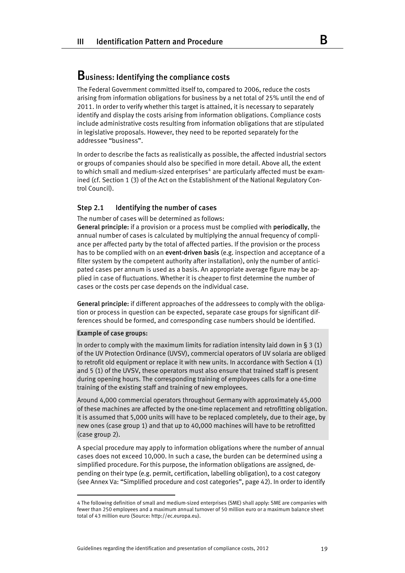# Business: Identifying the compliance costs

The Federal Government committed itself to, compared to 2006, reduce the costs arising from information obligations for business by a net total of 25% until the end of 2011. In order to verify whether this target is attained, it is necessary to separately identify and display the costs arising from information obligations. Compliance costs include administrative costs resulting from information obligations that are stipulated in legislative proposals. However, they need to be reported separately for the addressee "business".

In order to describe the facts as realistically as possible, the affected industrial sectors or groups of companies should also be specified in more detail. Above all, the extent to which small and medium-sized enterprises<sup>[4](#page-18-0)</sup> are particularly affected must be examined (cf. Section 1 (3) of the Act on the Establishment of the National Regulatory Control Council).

# Step 2.1 Identifying the number of cases

The number of cases will be determined as follows:

General principle: if a provision or a process must be complied with periodically, the annual number of cases is calculated by multiplying the annual frequency of compliance per affected party by the total of affected parties. If the provision or the process has to be complied with on an **event-driven basis** (e.g. inspection and acceptance of a filter system by the competent authority after installation), only the number of anticipated cases per annum is used as a basis. An appropriate average figure may be applied in case of fluctuations. Whether it is cheaper to first determine the number of cases or the costs per case depends on the individual case.

General principle: if different approaches of the addressees to comply with the obligation or process in question can be expected, separate case groups for significant differences should be formed, and corresponding case numbers should be identified.

#### Example of case groups:

In order to comply with the maximum limits for radiation intensity laid down in § 3 (1) of the UV Protection Ordinance (UVSV), commercial operators of UV solaria are obliged to retrofit old equipment or replace it with new units. In accordance with Section 4 (1) and 5 (1) of the UVSV, these operators must also ensure that trained staff is present during opening hours. The corresponding training of employees calls for a one-time training of the existing staff and training of new employees.

Around 4,000 commercial operators throughout Germany with approximately 45,000 of these machines are affected by the one-time replacement and retrofitting obligation. It is assumed that 5,000 units will have to be replaced completely, due to their age, by new ones (case group 1) and that up to 40,000 machines will have to be retrofitted (case group 2).

A special procedure may apply to information obligations where the number of annual cases does not exceed 10,000. In such a case, the burden can be determined using a simplified procedure. For this purpose, the information obligations are assigned, depending on their type (e.g. permit, certification, labelling obligation), to a cost category (see Annex Va: "Simplified procedure and cost categories", page 42). In order to identify

<span id="page-18-0"></span><sup>4</sup> The following definition of small and medium-sized enterprises (SME) shall apply: SME are companies with fewer than 250 employees and a maximum annual turnover of 50 million euro or a maximum balance sheet total of 43 million euro (Source: http://ec.europa.eu).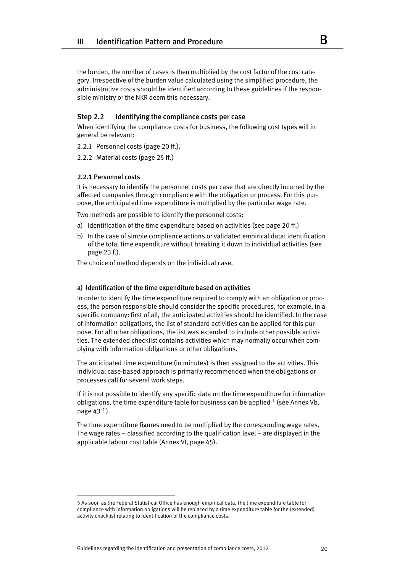the burden, the number of cases is then multiplied by the cost factor of the cost category. Irrespective of the burden value calculated using the simplified procedure, the administrative costs should be identified according to these guidelines if the responsible ministry or the NKR deem this necessary.

# Step 2.2 Identifying the compliance costs per case

When identifying the compliance costs for business, the following cost types will in general be relevant:

2.2.1 Personnel costs (page 20 ff.),

2.2.2 Material costs (page 25 ff.)

#### 2.2.1 Personnel costs

It is necessary to identify the personnel costs per case that are directly incurred by the affected companies through compliance with the obligation or process. For this purpose, the anticipated time expenditure is multiplied by the particular wage rate.

Two methods are possible to identify the personnel costs:

- a) Identification of the time expenditure based on activities (see page 20 ff.)
- b) In the case of simple compliance actions or validated empirical data: identification of the total time expenditure without breaking it down to individual activities (see page 23 f.).

The choice of method depends on the individual case.

# a) Identification of the time expenditure based on activities

In order to identify the time expenditure required to comply with an obligation or process, the person responsible should consider the specific procedures, for example, in a specific company: first of all, the anticipated activities should be identified. In the case of information obligations, the list of standard activities can be applied for this purpose. For all other obligations, the list was extended to include other possible activities. The extended checklist contains activities which may normally occur when complying with information obligations or other obligations.

The anticipated time expenditure (in minutes) is then assigned to the activities. This individual case-based approach is primarily recommended when the obligations or processes call for several work steps.

If it is not possible to identify any specific data on the time expenditure for information obligations, the time expenditure table for business can be applied  $5$  (see Annex Vb, page 43 f.).

The time expenditure figures need to be multiplied by the corresponding wage rates. The wage rates – classified according to the qualification level – are displayed in the applicable labour cost table (Annex VI, page 45).

<span id="page-19-0"></span><sup>5</sup> As soon as the Federal Statistical Office has enough empirical data, the time expenditure table for compliance with information obligations will be replaced by a time expenditure table for the (extended) activity checklist relating to identification of the compliance costs.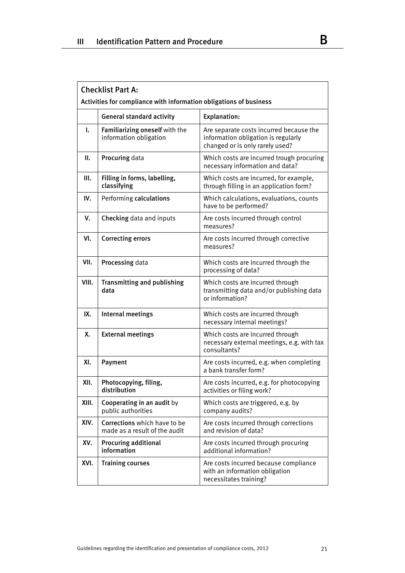|       | <b>Checklist Part A:</b><br>Activities for compliance with information obligations of business |                                                                                                                   |  |  |
|-------|------------------------------------------------------------------------------------------------|-------------------------------------------------------------------------------------------------------------------|--|--|
|       | <b>General standard activity</b>                                                               | <b>Explanation:</b>                                                                                               |  |  |
| I.    | Familiarizing oneself with the<br>information obligation                                       | Are separate costs incurred because the<br>information obligation is regularly<br>changed or is only rarely used? |  |  |
| П.    | Procuring data                                                                                 | Which costs are incurred trough procuring<br>necessary information and data?                                      |  |  |
| Ш.    | Filling in forms, labelling,<br>classifying                                                    | Which costs are incurred, for example,<br>through filling in an application form?                                 |  |  |
| IV.   | Performing calculations                                                                        | Which calculations, evaluations, counts<br>have to be performed?                                                  |  |  |
| V.    | Checking data and inputs                                                                       | Are costs incurred through control<br>measures?                                                                   |  |  |
| VI.   | <b>Correcting errors</b>                                                                       | Are costs incurred through corrective<br>measures?                                                                |  |  |
| VII.  | Processing data                                                                                | Which costs are incurred through the<br>processing of data?                                                       |  |  |
| VIII. | <b>Transmitting and publishing</b><br>data                                                     | Which costs are incurred through<br>transmitting data and/or publishing data<br>or information?                   |  |  |
| IX.   | Internal meetings                                                                              | Which costs are incurred through<br>necessary internal meetings?                                                  |  |  |
| Χ.    | <b>External meetings</b>                                                                       | Which costs are incurred through<br>necessary external meetings, e.g. with tax<br>consultants?                    |  |  |
| XI.   | Payment                                                                                        | Are costs incurred, e.g. when completing<br>a bank transfer form?                                                 |  |  |
| XII.  | Photocopying, filing,<br>distribution                                                          | Are costs incurred, e.g. for photocopying<br>activities or filing work?                                           |  |  |
| XIII. | Cooperating in an audit by<br>public authorities                                               | Which costs are triggered, e.g. by<br>company audits?                                                             |  |  |
| XIV.  | Corrections which have to be<br>made as a result of the audit                                  | Are costs incurred through corrections<br>and revision of data?                                                   |  |  |
| XV.   | <b>Procuring additional</b><br>information                                                     | Are costs incurred through procuring<br>additional information?                                                   |  |  |
| XVI.  | <b>Training courses</b>                                                                        | Are costs incurred because compliance<br>with an information obligation<br>necessitates training?                 |  |  |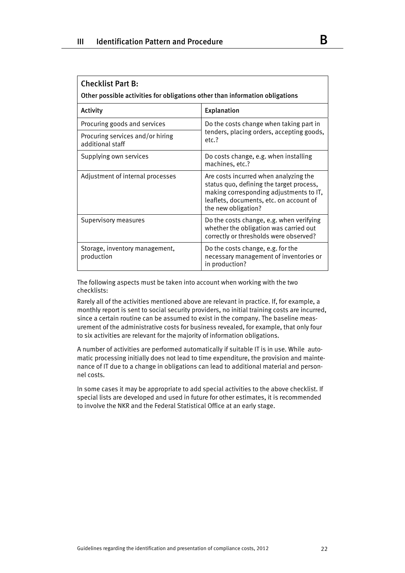| <b>Checklist Part B:</b><br>Other possible activities for obligations other than information obligations |                                                                                                                                                                                                |  |  |  |
|----------------------------------------------------------------------------------------------------------|------------------------------------------------------------------------------------------------------------------------------------------------------------------------------------------------|--|--|--|
| Activity                                                                                                 | <b>Explanation</b>                                                                                                                                                                             |  |  |  |
| Procuring goods and services                                                                             | Do the costs change when taking part in                                                                                                                                                        |  |  |  |
| Procuring services and/or hiring<br>additional staff                                                     | tenders, placing orders, accepting goods,<br>etc.?                                                                                                                                             |  |  |  |
| Supplying own services                                                                                   | Do costs change, e.g. when installing<br>machines, etc.?                                                                                                                                       |  |  |  |
| Adjustment of internal processes                                                                         | Are costs incurred when analyzing the<br>status quo, defining the target process,<br>making corresponding adjustments to IT,<br>leaflets, documents, etc. on account of<br>the new obligation? |  |  |  |
| Supervisory measures                                                                                     | Do the costs change, e.g. when verifying<br>whether the obligation was carried out<br>correctly or thresholds were observed?                                                                   |  |  |  |
| Storage, inventory management,<br>production                                                             | Do the costs change, e.g. for the<br>necessary management of inventories or<br>in production?                                                                                                  |  |  |  |

The following aspects must be taken into account when working with the two checklists:

Rarely all of the activities mentioned above are relevant in practice. If, for example, a monthly report is sent to social security providers, no initial training costs are incurred, since a certain routine can be assumed to exist in the company. The baseline measurement of the administrative costs for business revealed, for example, that only four to six activities are relevant for the majority of information obligations.

A number of activities are performed automatically if suitable IT is in use. While automatic processing initially does not lead to time expenditure, the provision and maintenance of IT due to a change in obligations can lead to additional material and personnel costs.

In some cases it may be appropriate to add special activities to the above checklist. If special lists are developed and used in future for other estimates, it is recommended to involve the NKR and the Federal Statistical Office at an early stage.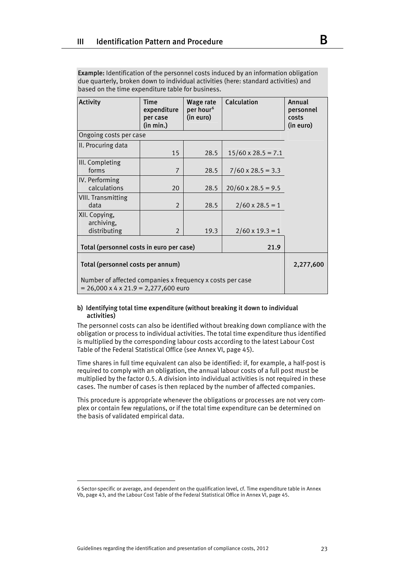Example: Identification of the personnel costs induced by an information obligation due quarterly, broken down to individual activities (here: standard activities) and based on the time expenditure table for business.

| Activity                                                                                                      | <b>Time</b><br>expenditure<br>per case<br>(in min.) | Wage rate<br>per hour <sup>6</sup><br>(in euro) | Calculation               | Annual<br>personnel<br>costs<br>(in euro) |
|---------------------------------------------------------------------------------------------------------------|-----------------------------------------------------|-------------------------------------------------|---------------------------|-------------------------------------------|
| Ongoing costs per case                                                                                        |                                                     |                                                 |                           |                                           |
| II. Procuring data                                                                                            | 15                                                  | 28.5                                            | $15/60 \times 28.5 = 7.1$ |                                           |
| III. Completing<br>forms                                                                                      | $\overline{7}$                                      | 28.5                                            | $7/60 \times 28.5 = 3.3$  |                                           |
| IV. Performing<br>calculations                                                                                | 20                                                  | 28.5                                            | $20/60 \times 28.5 = 9.5$ |                                           |
| <b>VIII. Transmitting</b><br>data                                                                             | 2                                                   | 28.5                                            | $2/60 \times 28.5 = 1$    |                                           |
| XII. Copying,<br>archiving,<br>distributing                                                                   | 2                                                   | 19.3                                            | $2/60 \times 19.3 = 1$    |                                           |
| Total (personnel costs in euro per case)                                                                      |                                                     |                                                 |                           |                                           |
| Total (personnel costs per annum)                                                                             | 2,277,600                                           |                                                 |                           |                                           |
| Number of affected companies x frequency x costs per case<br>$= 26,000 \times 4 \times 21.9 = 2,277,600$ euro |                                                     |                                                 |                           |                                           |

# b) Identifying total time expenditure (without breaking it down to individual activities)

The personnel costs can also be identified without breaking down compliance with the obligation or process to individual activities. The total time expenditure thus identified is multiplied by the corresponding labour costs according to the latest Labour Cost Table of the Federal Statistical Office (see Annex VI, page 45).

Time shares in full time equivalent can also be identified: if, for example, a half-post is required to comply with an obligation, the annual labour costs of a full post must be multiplied by the factor 0.5. A division into individual activities is not required in these cases. The number of cases is then replaced by the number of affected companies.

This procedure is appropriate whenever the obligations or processes are not very complex or contain few regulations, or if the total time expenditure can be determined on the basis of validated empirical data.

<span id="page-22-0"></span><sup>6</sup> Sector-specific or average, and dependent on the qualification level, cf. Time expenditure table in Annex Vb, page 43, and the Labour Cost Table of the Federal Statistical Office in Annex VI, page 45.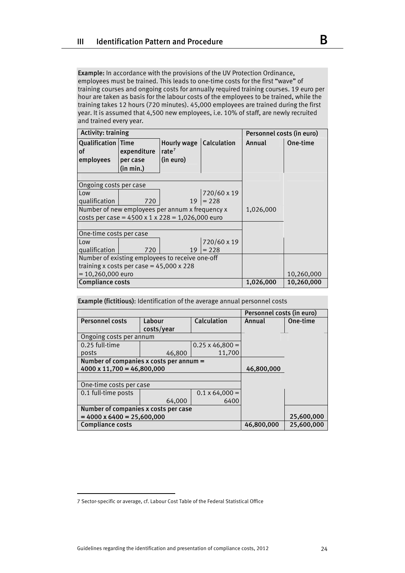Example: In accordance with the provisions of the UV Protection Ordinance, employees must be trained. This leads to one-time costs for the first "wave" of training courses and ongoing costs for annually required training courses. 19 euro per hour are taken as basis for the labour costs of the employees to be trained, while the training takes 12 hours (720 minutes). 45,000 employees are trained during the first year. It is assumed that 4,500 new employees, i.e. 10% of staff, are newly recruited and trained every year.

| <b>Activity: training</b>       |                                                              |                                  |                    | Personnel costs (in euro) |            |
|---------------------------------|--------------------------------------------------------------|----------------------------------|--------------------|---------------------------|------------|
| <b>Qualification Time</b><br>of | expenditure                                                  | Hourly wage<br>rate <sup>7</sup> | <b>Calculation</b> | Annual                    | One-time   |
| employees                       | per case                                                     | (in euro)                        |                    |                           |            |
|                                 | (in min.)                                                    |                                  |                    |                           |            |
|                                 |                                                              |                                  |                    |                           |            |
| Ongoing costs per case          |                                                              |                                  |                    |                           |            |
| Low                             |                                                              |                                  | 720/60 x 19        |                           |            |
| qualification                   | 720                                                          | 19                               | $= 228$            |                           |            |
|                                 | Number of new employees per annum x frequency x              |                                  |                    | 1,026,000                 |            |
|                                 | costs per case = $4500 \times 1 \times 228 = 1,026,000$ euro |                                  |                    |                           |            |
|                                 |                                                              |                                  |                    |                           |            |
| One-time costs per case         |                                                              |                                  |                    |                           |            |
| Low                             |                                                              |                                  | 720/60 x 19        |                           |            |
| qualification                   | 720                                                          | 19                               | $= 228$            |                           |            |
|                                 | Number of existing employees to receive one-off              |                                  |                    |                           |            |
|                                 | training x costs per case = $45,000 \times 228$              |                                  |                    |                           |            |
| $= 10,260,000$ euro             |                                                              |                                  | 10,260,000         |                           |            |
|                                 | <b>Compliance costs</b>                                      |                                  |                    |                           | 10,260,000 |

| <b>Example (fictitious):</b> Identification of the average annual personnel costs |                      |                        |            |          |  |
|-----------------------------------------------------------------------------------|----------------------|------------------------|------------|----------|--|
|                                                                                   |                      |                        |            |          |  |
| <b>Personnel costs</b>                                                            | Labour<br>costs/year | Calculation            | Annual     | One-time |  |
| Ongoing costs per annum                                                           |                      |                        |            |          |  |
| 0.25 full-time                                                                    |                      | $0.25 \times 46,800 =$ |            |          |  |
| posts                                                                             | 46,800               | 11,700                 |            |          |  |
| Number of companies x costs per annum =                                           |                      |                        |            |          |  |
| $4000 \times 11,700 = 46,800,000$                                                 |                      |                        | 46,800,000 |          |  |
|                                                                                   |                      |                        |            |          |  |
| One-time costs per case                                                           |                      |                        |            |          |  |
| 0.1 full-time posts                                                               |                      | $0.1 \times 64,000 =$  |            |          |  |
|                                                                                   | 64,000               | 6400                   |            |          |  |
| Number of companies x costs per case                                              |                      |                        |            |          |  |
| $= 4000 \times 6400 = 25,600,000$                                                 |                      | 25,600,000             |            |          |  |
| <b>Compliance costs</b>                                                           | 46,800,000           | 25,600,000             |            |          |  |

<span id="page-23-0"></span><sup>7</sup> Sector-specific or average, cf. Labour Cost Table of the Federal Statistical Office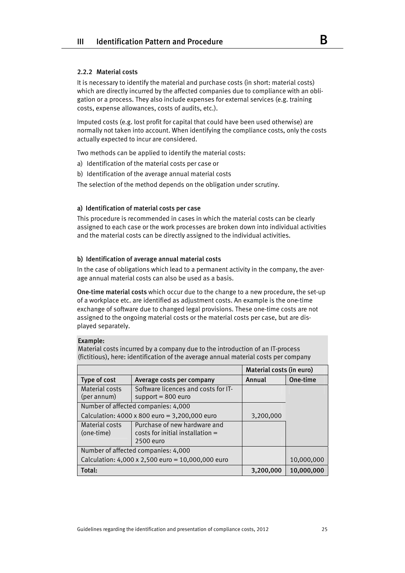# 2.2.2 Material costs

It is necessary to identify the material and purchase costs (in short: material costs) which are directly incurred by the affected companies due to compliance with an obligation or a process. They also include expenses for external services (e.g. training costs, expense allowances, costs of audits, etc.).

Imputed costs (e.g. lost profit for capital that could have been used otherwise) are normally not taken into account. When identifying the compliance costs, only the costs actually expected to incur are considered.

Two methods can be applied to identify the material costs:

- a) Identification of the material costs per case or
- b) Identification of the average annual material costs

The selection of the method depends on the obligation under scrutiny.

# a) Identification of material costs per case

This procedure is recommended in cases in which the material costs can be clearly assigned to each case or the work processes are broken down into individual activities and the material costs can be directly assigned to the individual activities.

#### b) Identification of average annual material costs

In the case of obligations which lead to a permanent activity in the company, the average annual material costs can also be used as a basis.

One-time material costs which occur due to the change to a new procedure, the set-up of a workplace etc. are identified as adjustment costs. An example is the one-time exchange of software due to changed legal provisions. These one-time costs are not assigned to the ongoing material costs or the material costs per case, but are displayed separately.

#### Example:

Material costs incurred by a company due to the introduction of an IT-process (fictitious), here: identification of the average annual material costs per company

|                                     |                                                                                   | <b>Material costs (in euro)</b> |            |  |
|-------------------------------------|-----------------------------------------------------------------------------------|---------------------------------|------------|--|
| Type of cost                        | Average costs per company                                                         | Annual                          | One-time   |  |
| Material costs<br>(per annum)       | Software licences and costs for IT-<br>support $= 800$ euro                       |                                 |            |  |
|                                     | Number of affected companies: 4,000                                               |                                 |            |  |
|                                     | Calculation: 4000 x 800 euro = 3,200,000 euro                                     | 3,200,000                       |            |  |
| <b>Material costs</b><br>(one-time) | Purchase of new hardware and<br>$costs$ for initial installation $=$<br>2500 euro |                                 |            |  |
| Number of affected companies: 4,000 |                                                                                   |                                 |            |  |
|                                     | Calculation: $4,000 \times 2,500$ euro = 10,000,000 euro                          |                                 | 10,000,000 |  |
| Total:                              |                                                                                   | 3,200,000                       | 10,000,000 |  |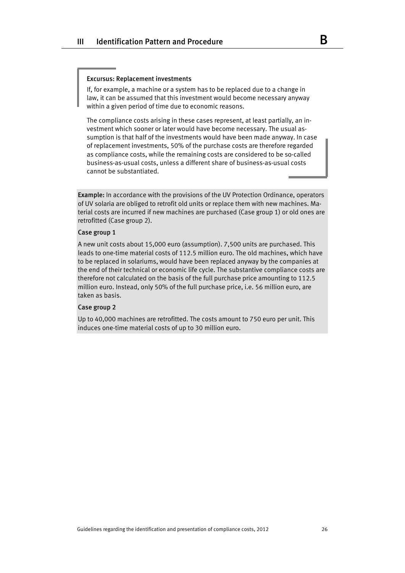#### Excursus: Replacement investments

If, for example, a machine or a system has to be replaced due to a change in law, it can be assumed that this investment would become necessary anyway within a given period of time due to economic reasons.

The compliance costs arising in these cases represent, at least partially, an investment which sooner or later would have become necessary. The usual assumption is that half of the investments would have been made anyway. In case of replacement investments, 50% of the purchase costs are therefore regarded as compliance costs, while the remaining costs are considered to be so-called business-as-usual costs, unless a different share of business-as-usual costs cannot be substantiated.

Example: In accordance with the provisions of the UV Protection Ordinance, operators of UV solaria are obliged to retrofit old units or replace them with new machines. Material costs are incurred if new machines are purchased (Case group 1) or old ones are retrofitted (Case group 2).

#### Case group 1

A new unit costs about 15,000 euro (assumption). 7,500 units are purchased. This leads to one-time material costs of 112.5 million euro. The old machines, which have to be replaced in solariums, would have been replaced anyway by the companies at the end of their technical or economic life cycle. The substantive compliance costs are therefore not calculated on the basis of the full purchase price amounting to 112.5 million euro. Instead, only 50% of the full purchase price, i.e. 56 million euro, are taken as basis.

#### Case group 2

Up to 40,000 machines are retrofitted. The costs amount to 750 euro per unit. This induces one-time material costs of up to 30 million euro.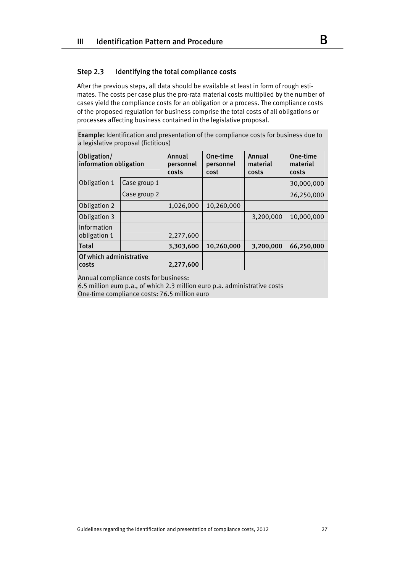# Step 2.3 Identifying the total compliance costs

After the previous steps, all data should be available at least in form of rough estimates. The costs per case plus the pro-rata material costs multiplied by the number of cases yield the compliance costs for an obligation or a process. The compliance costs of the proposed regulation for business comprise the total costs of all obligations or processes affecting business contained in the legislative proposal.

Example: Identification and presentation of the compliance costs for business due to a legislative proposal (fictitious)

| Obligation/<br>information obligation |              | Annual<br>personnel<br>costs | One-time<br>personnel<br>cost | Annual<br>material<br>costs | One-time<br>material<br>costs |
|---------------------------------------|--------------|------------------------------|-------------------------------|-----------------------------|-------------------------------|
| Obligation 1                          | Case group 1 |                              |                               |                             | 30,000,000                    |
|                                       | Case group 2 |                              |                               |                             | 26,250,000                    |
| Obligation 2                          |              | 1,026,000                    | 10.260,000                    |                             |                               |
| Obligation 3                          |              |                              |                               | 3,200,000                   | 10.000.000                    |
| Information<br>obligation 1           |              | 2,277,600                    |                               |                             |                               |
| <b>Total</b>                          |              | 3,303,600                    | 10.260.000                    | 3,200,000                   | 66.250.000                    |
| Of which administrative<br>costs      |              | 2,277,600                    |                               |                             |                               |

Annual compliance costs for business:

6.5 million euro p.a., of which 2.3 million euro p.a. administrative costs One-time compliance costs: 76.5 million euro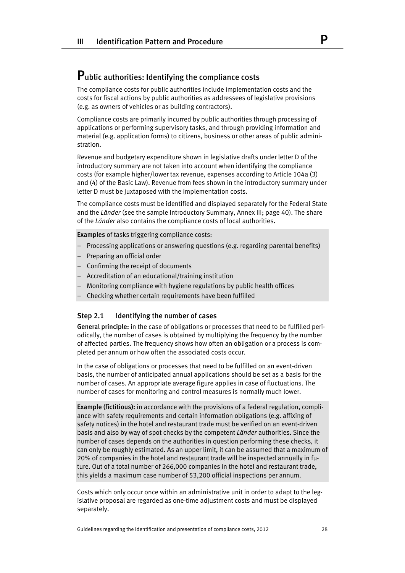# Public authorities: Identifying the compliance costs

The compliance costs for public authorities include implementation costs and the costs for fiscal actions by public authorities as addressees of legislative provisions (e.g. as owners of vehicles or as building contractors).

Compliance costs are primarily incurred by public authorities through processing of applications or performing supervisory tasks, and through providing information and material (e.g. application forms) to citizens, business or other areas of public administration.

Revenue and budgetary expenditure shown in legislative drafts under letter D of the introductory summary are not taken into account when identifying the compliance costs (for example higher/lower tax revenue, expenses according to Article 104a (3) and (4) of the Basic Law). Revenue from fees shown in the introductory summary under letter D must be juxtaposed with the implementation costs.

The compliance costs must be identified and displayed separately for the Federal State and the *Länder* (see the sample Introductory Summary, Annex III; page 40). The share of the *Länder* also contains the compliance costs of local authorities.

Examples of tasks triggering compliance costs:

- Processing applications or answering questions (e.g. regarding parental benefits)
- Preparing an official order
- Confirming the receipt of documents
- Accreditation of an educational/training institution
- Monitoring compliance with hygiene regulations by public health offices
- Checking whether certain requirements have been fulfilled

# Step 2.1 Identifying the number of cases

General principle: in the case of obligations or processes that need to be fulfilled periodically, the number of cases is obtained by multiplying the frequency by the number of affected parties. The frequency shows how often an obligation or a process is completed per annum or how often the associated costs occur.

In the case of obligations or processes that need to be fulfilled on an event-driven basis, the number of anticipated annual applications should be set as a basis for the number of cases. An appropriate average figure applies in case of fluctuations. The number of cases for monitoring and control measures is normally much lower.

Example (fictitious): in accordance with the provisions of a federal regulation, compliance with safety requirements and certain information obligations (e.g. affixing of safety notices) in the hotel and restaurant trade must be verified on an event-driven basis and also by way of spot checks by the competent *Länder* authorities. Since the number of cases depends on the authorities in question performing these checks, it can only be roughly estimated. As an upper limit, it can be assumed that a maximum of 20% of companies in the hotel and restaurant trade will be inspected annually in future. Out of a total number of 266,000 companies in the hotel and restaurant trade, this yields a maximum case number of 53,200 official inspections per annum.

Costs which only occur once within an administrative unit in order to adapt to the legislative proposal are regarded as one-time adjustment costs and must be displayed separately.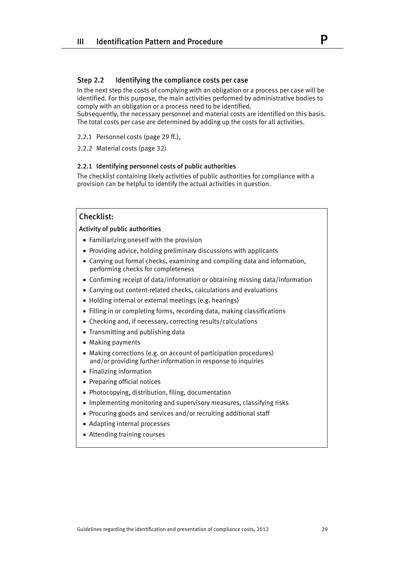# Step 2.2 Identifying the compliance costs per case

In the next step the costs of complying with an obligation or a process per case will be identified. For this purpose, the main activities performed by administrative bodies to comply with an obligation or a process need to be identified.

Subsequently, the necessary personnel and material costs are identified on this basis. The total costs per case are determined by adding up the costs for all activities.

2.2.1 Personnel costs (page 29 ff.),

2.2.2 Material costs (page 32)

### 2.2.1 Identifying personnel costs of public authorities

The checklist containing likely activities of public authorities for compliance with a provision can be helpful to identify the actual activities in question.

# Checklist:

Activity of public authorities

- Familiarizing oneself with the provision
- Providing advice, holding preliminary discussions with applicants
- Carrying out formal checks, examining and compiling data and information, performing checks for completeness
- Confirming receipt of data/information or obtaining missing data/information
- Carrying out content-related checks, calculations and evaluations
- Holding internal or external meetings (e.g. hearings)
- Filling in or completing forms, recording data, making classifications
- Checking and, if necessary, correcting results/calculations
- Transmitting and publishing data
- Making payments
- Making corrections (e.g. on account of participation procedures) and/or providing further information in response to inquiries
- Finalizing information
- Preparing official notices
- Photocopying, distribution, filing, documentation
- Implementing monitoring and supervisory measures, classifying risks
- Procuring goods and services and/or recruiting additional staff
- Adapting internal processes
- Attending training courses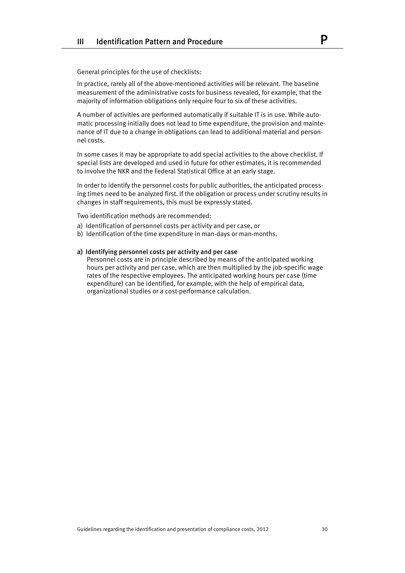General principles for the use of checklists:

In practice, rarely all of the above-mentioned activities will be relevant. The baseline measurement of the administrative costs for business revealed, for example, that the majority of information obligations only require four to six of these activities.

A number of activities are performed automatically if suitable IT is in use. While automatic processing initially does not lead to time expenditure, the provision and maintenance of IT due to a change in obligations can lead to additional material and personnel costs.

In some cases it may be appropriate to add special activities to the above checklist. If special lists are developed and used in future for other estimates, it is recommended to involve the NKR and the Federal Statistical Office at an early stage.

In order to identify the personnel costs for public authorities, the anticipated processing times need to be analyzed first. If the obligation or process under scrutiny results in changes in staff requirements, this must be expressly stated.

Two identification methods are recommended:

- a) Identification of personnel costs per activity and per case, or
- b) Identification of the time expenditure in man-days or man-months.

#### a) Identifying personnel costs per activity and per case

Personnel costs are in principle described by means of the anticipated working hours per activity and per case, which are then multiplied by the job-specific wage rates of the respective employees. The anticipated working hours per case (time expenditure) can be identified, for example, with the help of empirical data, organizational studies or a cost-performance calculation.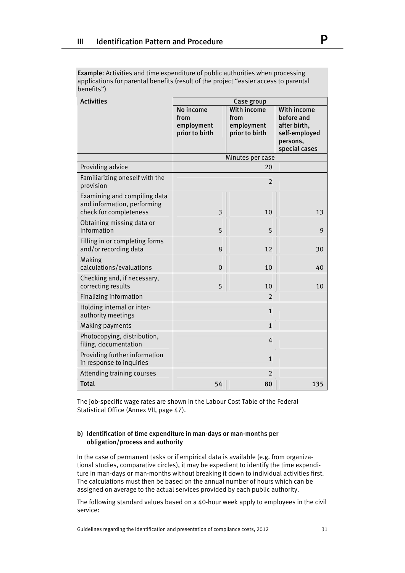Example: Activities and time expenditure of public authorities when processing applications for parental benefits (result of the project "easier access to parental benefits")

| <b>Activities</b>                                                                     |                                                   | Case group                                          |                                                                                         |
|---------------------------------------------------------------------------------------|---------------------------------------------------|-----------------------------------------------------|-----------------------------------------------------------------------------------------|
|                                                                                       | No income<br>from<br>employment<br>prior to birth | With income<br>from<br>employment<br>prior to birth | With income<br>before and<br>after birth,<br>self-employed<br>persons,<br>special cases |
|                                                                                       |                                                   | Minutes per case                                    |                                                                                         |
| Providing advice                                                                      |                                                   | 20                                                  |                                                                                         |
| Familiarizing oneself with the<br>provision                                           |                                                   | $\overline{2}$                                      |                                                                                         |
| Examining and compiling data<br>and information, performing<br>check for completeness | 3                                                 | 10                                                  | 13                                                                                      |
| Obtaining missing data or<br>information                                              | 5                                                 | 5                                                   | 9                                                                                       |
| Filling in or completing forms<br>and/or recording data                               | 8                                                 | 12                                                  | 30                                                                                      |
| Making<br>calculations/evaluations                                                    | $\mathbf 0$                                       | 10                                                  | 40                                                                                      |
| Checking and, if necessary,<br>correcting results                                     | 5                                                 | 10                                                  | 10                                                                                      |
| Finalizing information                                                                |                                                   | $\overline{2}$                                      |                                                                                         |
| Holding internal or inter-<br>authority meetings                                      | $\mathbf{1}$                                      |                                                     |                                                                                         |
| <b>Making payments</b>                                                                | $\mathbf{1}$                                      |                                                     |                                                                                         |
| Photocopying, distribution,<br>filing, documentation                                  |                                                   | 4                                                   |                                                                                         |
| Providing further information<br>in response to inquiries                             | $\mathbf{1}$                                      |                                                     |                                                                                         |
| Attending training courses                                                            | $\overline{2}$                                    |                                                     |                                                                                         |
| <b>Total</b>                                                                          | 54                                                | 80                                                  | 135                                                                                     |

The job-specific wage rates are shown in the Labour Cost Table of the Federal Statistical Office (Annex VII, page 47).

# b) Identification of time expenditure in man-days or man-months per obligation/process and authority

In the case of permanent tasks or if empirical data is available (e.g. from organizational studies, comparative circles), it may be expedient to identify the time expenditure in man-days or man-months without breaking it down to individual activities first. The calculations must then be based on the annual number of hours which can be assigned on average to the actual services provided by each public authority.

The following standard values based on a 40-hour week apply to employees in the civil service:

Guidelines regarding the identification and presentation of compliance costs, 2012 31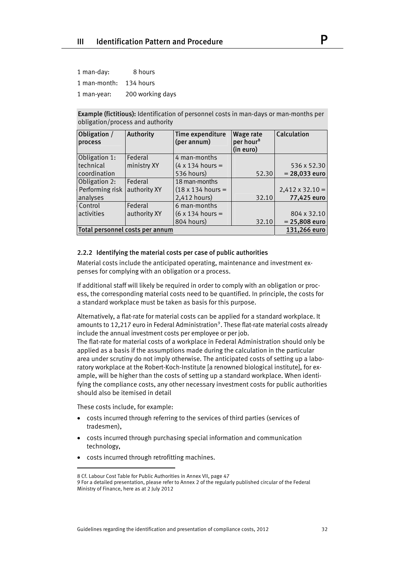| 1 man-day:             | 8 hours          |
|------------------------|------------------|
| 1 man-month: 134 hours |                  |
| 1 man-year:            | 200 working days |

Example (fictitious): Identification of personnel costs in man-days or man-months per obligation/process and authority

| Obligation /<br>process | <b>Authority</b>                | Time expenditure<br>(per annum)  | <b>Wage rate</b><br>per hour <sup>8</sup><br>(in euro) | Calculation            |
|-------------------------|---------------------------------|----------------------------------|--------------------------------------------------------|------------------------|
| Obligation 1:           | Federal                         | 4 man-months                     |                                                        |                        |
| technical               | ministry XY                     | $(4 \times 134$ hours =          |                                                        | 536 x 52.30            |
| coordination            |                                 | 536 hours)                       | 52.30                                                  | $= 28,033$ euro        |
| Obligation 2:           | Federal                         | 18 man-months                    |                                                        |                        |
| Performing risk         | authority XY                    | $(18 \times 134 \text{ hours} =$ |                                                        | $2,412 \times 32.10 =$ |
| analyses                |                                 | 2,412 hours)                     | 32.10                                                  | 77,425 euro            |
| Control                 | Federal                         | 6 man-months                     |                                                        |                        |
| activities              | authority XY                    | $(6 \times 134$ hours =          |                                                        | 804 x 32.10            |
|                         |                                 | 804 hours)                       | 32.10                                                  | $= 25,808$ euro        |
|                         | Total personnel costs per annum |                                  |                                                        | 131,266 euro           |

# 2.2.2 Identifying the material costs per case of public authorities

Material costs include the anticipated operating, maintenance and investment expenses for complying with an obligation or a process.

If additional staff will likely be required in order to comply with an obligation or process, the corresponding material costs need to be quantified. In principle, the costs for a standard workplace must be taken as basis for this purpose.

Alternatively, a flat-rate for material costs can be applied for a standard workplace. It amounts to 12,217 euro in Federal Administration<sup>9</sup>. These flat-rate material costs already include the annual investment costs per employee or per job.

The flat-rate for material costs of a workplace in Federal Administration should only be applied as a basis if the assumptions made during the calculation in the particular area under scrutiny do not imply otherwise. The anticipated costs of setting up a laboratory workplace at the Robert-Koch-Institute [a renowned biological institute], for example, will be higher than the costs of setting up a standard workplace. When identifying the compliance costs, any other necessary investment costs for public authorities should also be itemised in detail

These costs include, for example:

- costs incurred through referring to the services of third parties (services of tradesmen),
- costs incurred through purchasing special information and communication technology,
- costs incurred through retrofitting machines.

<span id="page-31-1"></span><span id="page-31-0"></span><sup>8</sup> Cf. Labour Cost Table for Public Authorities in Annex VII, page 47

<sup>9</sup> For a detailed presentation, please refer to Annex 2 of the regularly published circular of the Federal Ministry of Finance, here as at 2 July 2012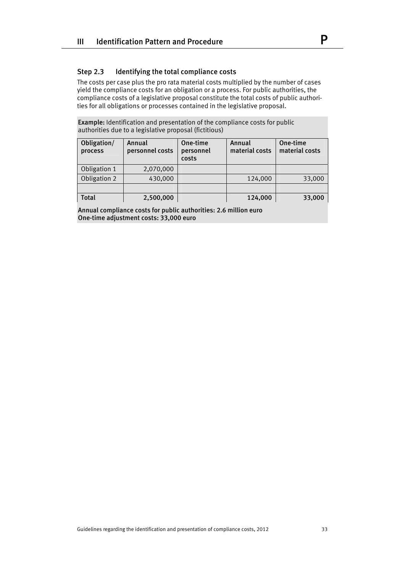# Step 2.3 Identifying the total compliance costs

The costs per case plus the pro rata material costs multiplied by the number of cases yield the compliance costs for an obligation or a process. For public authorities, the compliance costs of a legislative proposal constitute the total costs of public authorities for all obligations or processes contained in the legislative proposal.

Example: Identification and presentation of the compliance costs for public authorities due to a legislative proposal (fictitious)

| Obligation/<br>process | Annual<br>personnel costs | One-time<br>personnel<br>costs | Annual<br>material costs | One-time<br>material costs |
|------------------------|---------------------------|--------------------------------|--------------------------|----------------------------|
| Obligation 1           | 2,070,000                 |                                |                          |                            |
| Obligation 2           | 430,000                   |                                | 124,000                  | 33,000                     |
|                        |                           |                                |                          |                            |
| <b>Total</b>           | 2,500,000                 |                                | 124,000                  | 33,000                     |

Annual compliance costs for public authorities: 2.6 million euro One-time adjustment costs: 33,000 euro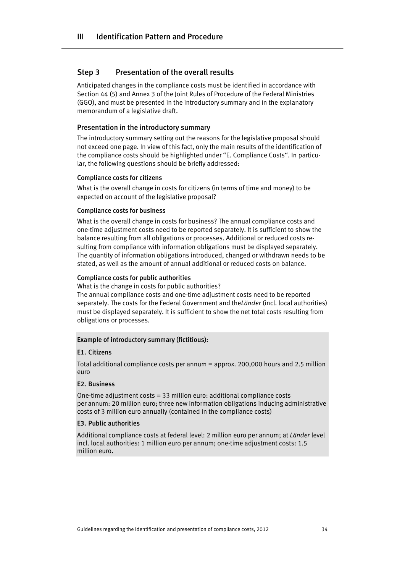# Step 3 Presentation of the overall results

Anticipated changes in the compliance costs must be identified in accordance with Section 44 (5) and Annex 3 of the Joint Rules of Procedure of the Federal Ministries (GGO), and must be presented in the introductory summary and in the explanatory memorandum of a legislative draft.

# Presentation in the introductory summary

The introductory summary setting out the reasons for the legislative proposal should not exceed one page. In view of this fact, only the main results of the identification of the compliance costs should be highlighted under "E. Compliance Costs". In particular, the following questions should be briefly addressed:

# Compliance costs for citizens

What is the overall change in costs for citizens (in terms of time and money) to be expected on account of the legislative proposal?

#### Compliance costs for business

What is the overall change in costs for business? The annual compliance costs and one-time adjustment costs need to be reported separately. It is sufficient to show the balance resulting from all obligations or processes. Additional or reduced costs resulting from compliance with information obligations must be displayed separately. The quantity of information obligations introduced, changed or withdrawn needs to be stated, as well as the amount of annual additional or reduced costs on balance.

#### Compliance costs for public authorities

What is the change in costs for public authorities?

The annual compliance costs and one-time adjustment costs need to be reported separately. The costs for the Federal Government and the*Länder* (incl. local authorities) must be displayed separately. It is sufficient to show the net total costs resulting from obligations or processes.

#### Example of introductory summary (fictitious):

#### E1. Citizens

Total additional compliance costs per annum = approx. 200,000 hours and 2.5 million euro

#### E2. Business

One-time adjustment costs = 33 million euro: additional compliance costs per annum: 20 million euro; three new information obligations inducing administrative costs of 3 million euro annually (contained in the compliance costs)

#### E3. Public authorities

Additional compliance costs at federal level: 2 million euro per annum; at *Länder* level incl. local authorities: 1 million euro per annum; one-time adjustment costs: 1.5 million euro.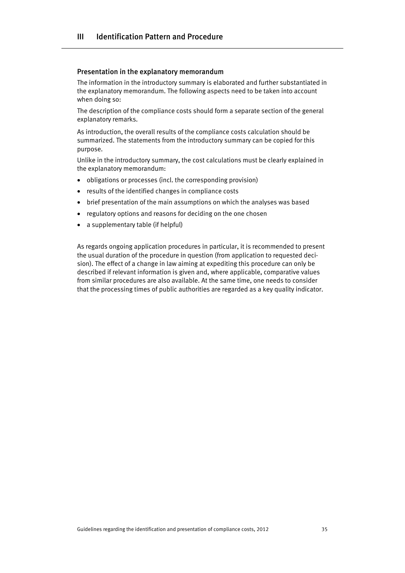#### Presentation in the explanatory memorandum

The information in the introductory summary is elaborated and further substantiated in the explanatory memorandum. The following aspects need to be taken into account when doing so:

The description of the compliance costs should form a separate section of the general explanatory remarks.

As introduction, the overall results of the compliance costs calculation should be summarized. The statements from the introductory summary can be copied for this purpose.

Unlike in the introductory summary, the cost calculations must be clearly explained in the explanatory memorandum:

- obligations or processes (incl. the corresponding provision)
- results of the identified changes in compliance costs
- brief presentation of the main assumptions on which the analyses was based
- regulatory options and reasons for deciding on the one chosen
- a supplementary table (if helpful)

As regards ongoing application procedures in particular, it is recommended to present the usual duration of the procedure in question (from application to requested decision). The effect of a change in law aiming at expediting this procedure can only be described if relevant information is given and, where applicable, comparative values from similar procedures are also available. At the same time, one needs to consider that the processing times of public authorities are regarded as a key quality indicator.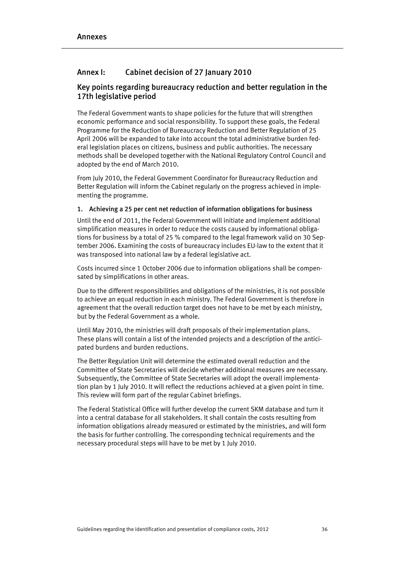# Annex I: Cabinet decision of 27 January 2010

# Key points regarding bureaucracy reduction and better regulation in the 17th legislative period

The Federal Government wants to shape policies for the future that will strengthen economic performance and social responsibility. To support these goals, the Federal Programme for the Reduction of Bureaucracy Reduction and Better Regulation of 25 April 2006 will be expanded to take into account the total administrative burden federal legislation places on citizens, business and public authorities. The necessary methods shall be developed together with the National Regulatory Control Council and adopted by the end of March 2010.

From July 2010, the Federal Government Coordinator for Bureaucracy Reduction and Better Regulation will inform the Cabinet regularly on the progress achieved in implementing the programme.

# 1. Achieving a 25 per cent net reduction of information obligations for business

Until the end of 2011, the Federal Government will initiate and implement additional simplification measures in order to reduce the costs caused by informational obligations for business by a total of 25 % compared to the legal framework valid on 30 September 2006. Examining the costs of bureaucracy includes EU-law to the extent that it was transposed into national law by a federal legislative act.

Costs incurred since 1 October 2006 due to information obligations shall be compensated by simplifications in other areas.

Due to the different responsibilities and obligations of the ministries, it is not possible to achieve an equal reduction in each ministry. The Federal Government is therefore in agreement that the overall reduction target does not have to be met by each ministry, but by the Federal Government as a whole.

Until May 2010, the ministries will draft proposals of their implementation plans. These plans will contain a list of the intended projects and a description of the anticipated burdens and burden reductions.

The Better Regulation Unit will determine the estimated overall reduction and the Committee of State Secretaries will decide whether additional measures are necessary. Subsequently, the Committee of State Secretaries will adopt the overall implementation plan by 1 July 2010. It will reflect the reductions achieved at a given point in time. This review will form part of the regular Cabinet briefings.

The Federal Statistical Office will further develop the current SKM database and turn it into a central database for all stakeholders. It shall contain the costs resulting from information obligations already measured or estimated by the ministries, and will form the basis for further controlling. The corresponding technical requirements and the necessary procedural steps will have to be met by 1 July 2010.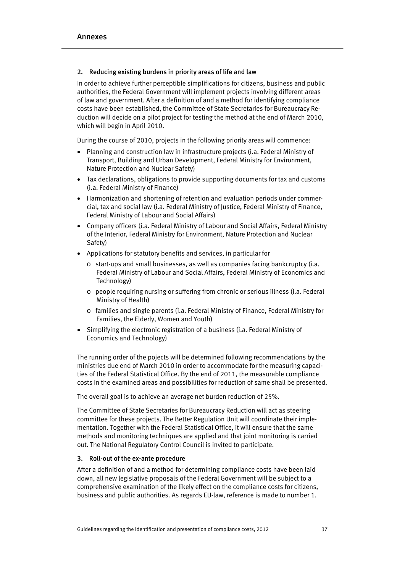# 2. Reducing existing burdens in priority areas of life and law

In order to achieve further perceptible simplifications for citizens, business and public authorities, the Federal Government will implement projects involving different areas of law and government. After a definition of and a method for identifying compliance costs have been established, the Committee of State Secretaries for Bureaucracy Reduction will decide on a pilot project for testing the method at the end of March 2010, which will begin in April 2010.

During the course of 2010, projects in the following priority areas will commence:

- Planning and construction law in infrastructure projects (i.a. Federal Ministry of Transport, Building and Urban Development, Federal Ministry for Environment, Nature Protection and Nuclear Safety)
- Tax declarations, obligations to provide supporting documents for tax and customs (i.a. Federal Ministry of Finance)
- Harmonization and shortening of retention and evaluation periods under commercial, tax and social law (i.a. Federal Ministry of Justice, Federal Ministry of Finance, Federal Ministry of Labour and Social Affairs)
- Company officers (i.a. Federal Ministry of Labour and Social Affairs, Federal Ministry of the Interior, Federal Ministry for Environment, Nature Protection and Nuclear Safety)
- Applications for statutory benefits and services, in particular for
	- o start-ups and small businesses, as well as companies facing bankcruptcy (i.a. Federal Ministry of Labour and Social Affairs, Federal Ministry of Economics and Technology)
	- o people requiring nursing or suffering from chronic or serious illness (i.a. Federal Ministry of Health)
	- o families and single parents (i.a. Federal Ministry of Finance, Federal Ministry for Families, the Elderly, Women and Youth)
- Simplifying the electronic registration of a business (i.a. Federal Ministry of Economics and Technology)

The running order of the pojects will be determined following recommendations by the ministries due end of March 2010 in order to accommodate for the measuring capacities of the Federal Statistical Office. By the end of 2011, the measurable compliance costs in the examined areas and possibilities for reduction of same shall be presented.

The overall goal is to achieve an average net burden reduction of 25%.

The Committee of State Secretaries for Bureaucracy Reduction will act as steering committee for these projects. The Better Regulation Unit will coordinate their implementation. Together with the Federal Statistical Office, it will ensure that the same methods and monitoring techniques are applied and that joint monitoring is carried out. The National Regulatory Control Council is invited to participate.

# 3. Roll-out of the ex-ante procedure

After a definition of and a method for determining compliance costs have been laid down, all new legislative proposals of the Federal Government will be subject to a comprehensive examination of the likely effect on the compliance costs for citizens, business and public authorities. As regards EU-law, reference is made to number 1.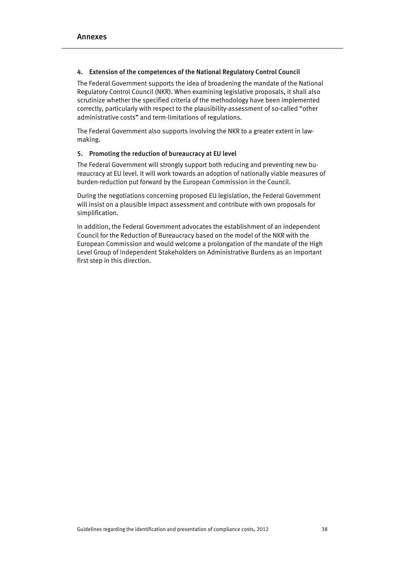# 4. Extension of the competences of the National Regulatory Control Council

The Federal Government supports the idea of broadening the mandate of the National Regulatory Control Council (NKR). When examining legislative proposals, it shall also scrutinize whether the specified criteria of the methodology have been implemented correctly, particularly with respect to the plausibility-assessment of so-called "other administrative costs" and term-limitations of regulations.

The Federal Government also supports involving the NKR to a greater extent in lawmaking.

# 5. Promoting the reduction of bureaucracy at EU level

The Federal Government will strongly support both reducing and preventing new bureaucracy at EU level. It will work towards an adoption of nationally viable measures of burden-reduction put forward by the European Commission in the Council.

During the negotiations concerning proposed EU legislation, the Federal Government will insist on a plausible impact assessment and contribute with own proposals for simplification.

In addition, the Federal Government advocates the establishment of an independent Council for the Reduction of Bureaucracy based on the model of the NKR with the European Commission and would welcome a prolongation of the mandate of the High Level Group of Independent Stakeholders on Administrative Burdens as an important first step in this direction.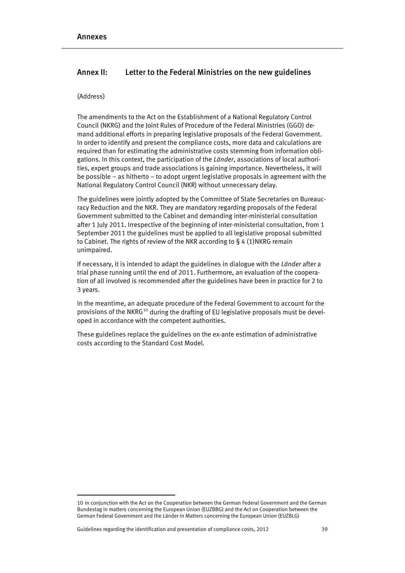# Annex II: Letter to the Federal Ministries on the new guidelines

# (Address)

The amendments to the Act on the Establishment of a National Regulatory Control Council (NKRG) and the Joint Rules of Procedure of the Federal Ministries (GGO) demand additional efforts in preparing legislative proposals of the Federal Government. In order to identify and present the compliance costs, more data and calculations are required than for estimating the administrative costs stemming from information obligations. In this context, the participation of the *Länder*, associations of local authorities, expert groups and trade associations is gaining importance. Nevertheless, it will be possible – as hitherto – to adopt urgent legislative proposals in agreement with the National Regulatory Control Council (NKR) without unnecessary delay.

The guidelines were jointly adopted by the Committee of State Secretaries on Bureaucracy Reduction and the NKR. They are mandatory regarding proposals of the Federal Government submitted to the Cabinet and demanding inter-ministerial consultation after 1 July 2011. Irrespective of the beginning of inter-ministerial consultation, from 1 September 2011 the guidelines must be applied to all legislative proposal submitted to Cabinet. The rights of review of the NKR according to § 4 (1)NKRG remain unimpaired.

If necessary, it is intended to adapt the guidelines in dialogue with the *Länder* after a trial phase running until the end of 2011. Furthermore, an evaluation of the cooperation of all involved is recommended after the guidelines have been in practice for 2 to 3 years.

In the meantime, an adequate procedure of the Federal Government to account for the provisions of the NKRG<sup>[10](#page-38-0)</sup> during the drafting of EU legislative proposals must be developed in accordance with the competent authorities.

These guidelines replace the guidelines on the ex-ante estimation of administrative costs according to the Standard Cost Model.

<span id="page-38-0"></span><sup>10</sup> in conjunction with the Act on the Cooperation between the German Federal Government and the German Bundestag in matters concerning the European Union (EUZBBG) and the Act on Cooperation between the German Federal Government and the Länder in Matters concerning the European Union (EUZBLG)

Guidelines regarding the identification and presentation of compliance costs, 2012 39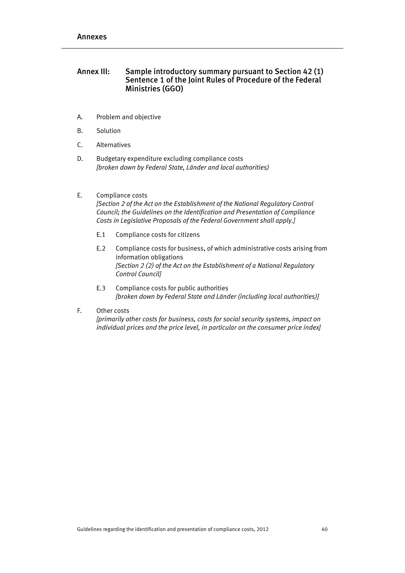# Annex III: Sample introductory summary pursuant to Section 42(1) Sentence 1 of the Joint Rules of Procedure of the Federal Ministries (GGO)

- A. Problem and objective
- B. Solution
- C. Alternatives
- D. Budgetary expenditure excluding compliance costs *[broken down by Federal State, Länder and local authorities)*

# E. Compliance costs

*[Section 2 of the Act on the Establishment of the National Regulatory Control Council; the Guidelines on the Identification and Presentation of Compliance Costs in Legislative Proposals of the Federal Government shall apply.]*

- E.1 Compliance costs for citizens
- E.2 Compliance costs for business, of which administrative costs arising from information obligations *[Section 2 (2) of the Act on the Establishment of a National Regulatory Control Council]*
- E.3 Compliance costs for public authorities *[broken down by Federal State and Länder (including local authorities)]*
- F. Other costs

*[primarily other costs for business, costs for social security systems, impact on individual prices and the price level, in particular on the consumer price index]*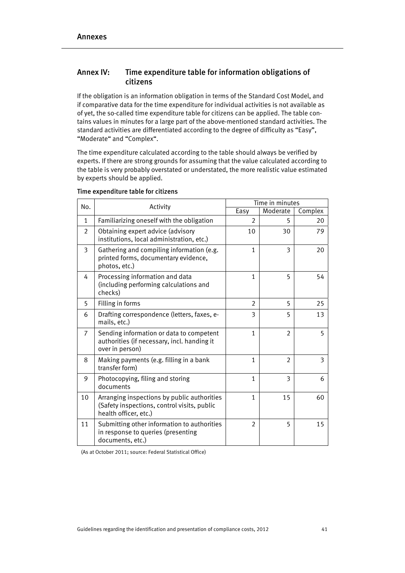# Annex IV: Time expenditure table for information obligations of citizens

If the obligation is an information obligation in terms of the Standard Cost Model, and if comparative data for the time expenditure for individual activities is not available as of yet, the so-called time expenditure table for citizens can be applied. The table contains values in minutes for a large part of the above-mentioned standard activities. The standard activities are differentiated according to the degree of difficulty as "Easy", "Moderate" and "Complex".

The time expenditure calculated according to the table should always be verified by experts. If there are strong grounds for assuming that the value calculated according to the table is very probably overstated or understated, the more realistic value estimated by experts should be applied.

| No.            | Activity                                                                                                            |                | Time in minutes |         |  |
|----------------|---------------------------------------------------------------------------------------------------------------------|----------------|-----------------|---------|--|
|                |                                                                                                                     | Easy           | Moderate        | Complex |  |
| $\mathbf{1}$   | Familiarizing oneself with the obligation                                                                           | $\overline{2}$ | 5               | 20      |  |
| 2              | Obtaining expert advice (advisory<br>institutions, local administration, etc.)                                      | 10             | 30              | 79      |  |
| 3              | Gathering and compiling information (e.g.<br>printed forms, documentary evidence,<br>photos, etc.)                  | 1              | 3               | 20      |  |
| 4              | Processing information and data<br>(including performing calculations and<br>checks)                                | $\mathbf{1}$   | 5               | 54      |  |
| 5              | Filling in forms                                                                                                    | $\overline{2}$ | 5               | 25      |  |
| 6              | Drafting correspondence (letters, faxes, e-<br>mails, etc.)                                                         | 3              | 5               | 13      |  |
| $\overline{7}$ | Sending information or data to competent<br>authorities (if necessary, incl. handing it<br>over in person)          | 1              | $\mathfrak{D}$  | 5       |  |
| 8              | Making payments (e.g. filling in a bank<br>transfer form)                                                           | 1              | $\overline{2}$  | 3       |  |
| 9              | Photocopying, filing and storing<br>documents                                                                       | 1              | 3               | 6       |  |
| 10             | Arranging inspections by public authorities<br>(Safety inspections, control visits, public<br>health officer, etc.) | 1              | 15              | 60      |  |
| 11             | Submitting other information to authorities<br>in response to queries (presenting<br>documents, etc.)               | $\overline{2}$ | 5               | 15      |  |

# Time expenditure table for citizens

(As at October 2011; source: Federal Statistical Office)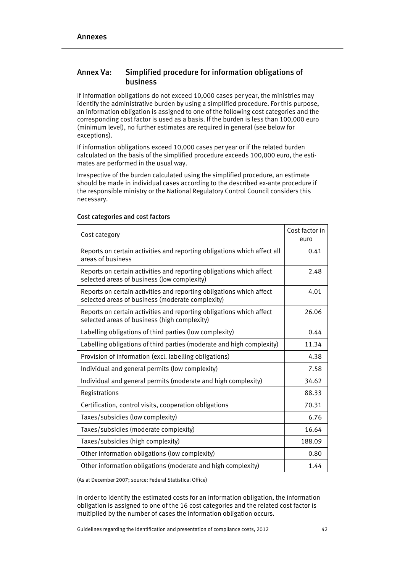# Annex Va: Simplified procedure for information obligations of business

If information obligations do not exceed 10,000 cases per year, the ministries may identify the administrative burden by using a simplified procedure. For this purpose, an information obligation is assigned to one of the following cost categories and the corresponding cost factor is used as a basis. If the burden is less than 100,000 euro (minimum level), no further estimates are required in general (see below for exceptions).

If information obligations exceed 10,000 cases per year or if the related burden calculated on the basis of the simplified procedure exceeds 100,000 euro, the estimates are performed in the usual way.

Irrespective of the burden calculated using the simplified procedure, an estimate should be made in individual cases according to the described ex-ante procedure if the responsible ministry or the National Regulatory Control Council considers this necessary.

| Cost category                                                                                                            | Cost factor in<br>euro |
|--------------------------------------------------------------------------------------------------------------------------|------------------------|
| Reports on certain activities and reporting obligations which affect all<br>areas of business                            | 0.41                   |
| Reports on certain activities and reporting obligations which affect<br>selected areas of business (low complexity)      | 2.48                   |
| Reports on certain activities and reporting obligations which affect<br>selected areas of business (moderate complexity) | 4.01                   |
| Reports on certain activities and reporting obligations which affect<br>selected areas of business (high complexity)     | 26.06                  |
| Labelling obligations of third parties (low complexity)                                                                  | 0.44                   |
| Labelling obligations of third parties (moderate and high complexity)                                                    | 11.34                  |
| Provision of information (excl. labelling obligations)                                                                   | 4.38                   |
| Individual and general permits (low complexity)                                                                          | 7.58                   |
| Individual and general permits (moderate and high complexity)                                                            | 34.62                  |
| Registrations                                                                                                            | 88.33                  |
| Certification, control visits, cooperation obligations                                                                   | 70.31                  |
| Taxes/subsidies (low complexity)                                                                                         | 6.76                   |
| Taxes/subsidies (moderate complexity)                                                                                    | 16.64                  |
| Taxes/subsidies (high complexity)                                                                                        | 188.09                 |
| Other information obligations (low complexity)                                                                           | 0.80                   |
| Other information obligations (moderate and high complexity)                                                             | 1.44                   |

#### Cost categories and cost factors

(As at December 2007; source: Federal Statistical Office)

In order to identify the estimated costs for an information obligation, the information obligation is assigned to one of the 16 cost categories and the related cost factor is multiplied by the number of cases the information obligation occurs.

Guidelines regarding the identification and presentation of compliance costs, 2012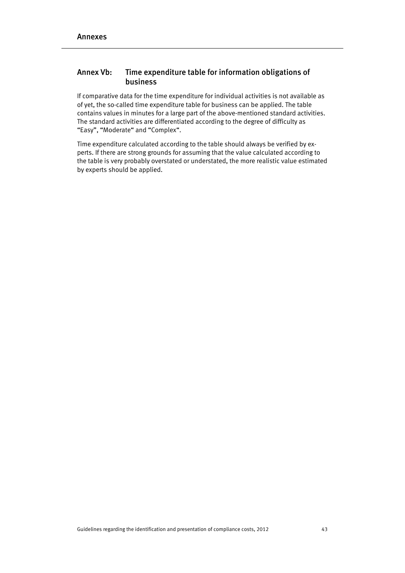# Annex Vb: Time expenditure table for information obligations of business

If comparative data for the time expenditure for individual activities is not available as of yet, the so-called time expenditure table for business can be applied. The table contains values in minutes for a large part of the above-mentioned standard activities. The standard activities are differentiated according to the degree of difficulty as "Easy", "Moderate" and "Complex".

Time expenditure calculated according to the table should always be verified by experts. If there are strong grounds for assuming that the value calculated according to the table is very probably overstated or understated, the more realistic value estimated by experts should be applied.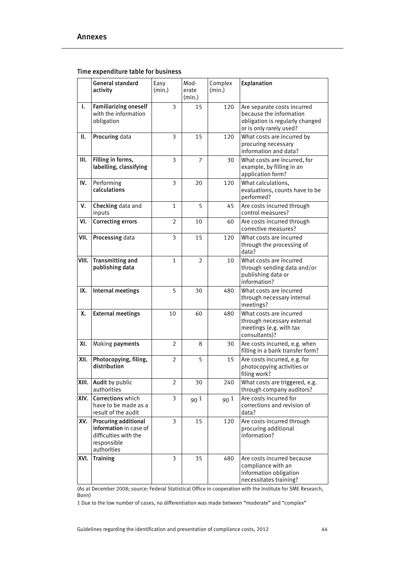|       | General standard<br>activity                                                                          | Easy<br>(min.) | Mod-<br>erate<br>(min.) | Complex<br>(min.) | Explanation                                                                                                          |
|-------|-------------------------------------------------------------------------------------------------------|----------------|-------------------------|-------------------|----------------------------------------------------------------------------------------------------------------------|
| ı.    | <b>Familiarizing oneself</b><br>with the information<br>obligation                                    | 3              | 15                      | 120               | Are separate costs incurred<br>because the information<br>obligation is regularly changed<br>or is only rarely used? |
| н.    | Procuring data                                                                                        | 3              | 15                      | 120               | What costs are incurred by<br>procuring necessary<br>information and data?                                           |
| Ш.    | Filling in forms,<br>labelling, classifying                                                           | 3              | $\overline{7}$          | 30                | What costs are incurred, for<br>example, by filling in an<br>application form?                                       |
| IV.   | Performing<br>calculations                                                                            | 3              | 20                      | 120               | What calculations,<br>evaluations, counts have to be<br>performed?                                                   |
| v.    | Checking data and<br>inputs                                                                           | $\mathbf{1}$   | 5                       | 45                | Are costs incurred through<br>control measures?                                                                      |
| VI.   | <b>Correcting errors</b>                                                                              | $\overline{2}$ | 10                      | 60                | Are costs incurred through<br>corrective measures?                                                                   |
| VII.  | Processing data                                                                                       | 3              | 15                      | 120               | What costs are incurred<br>through the processing of<br>data?                                                        |
| VIII. | <b>Transmitting and</b><br>publishing data                                                            | $\mathbf{1}$   | 2                       | 10                | What costs are incurred<br>through sending data and/or<br>publishing data or<br>information?                         |
| IX.   | Internal meetings                                                                                     | 5              | 30                      | 480               | What costs are incurred<br>through necessary internal<br>meetings?                                                   |
| Χ.    | <b>External meetings</b>                                                                              | 10             | 60                      | 480               | What costs are incurred<br>through necessary external<br>meetings (e.g. with tax<br>consultants)?                    |
| XI.   | Making payments                                                                                       | 2              | 8                       | 30                | Are costs incurred, e.g. when<br>filling in a bank transfer form?                                                    |
| XII.  | Photocopying, filing,<br>distribution                                                                 | 2              | 5                       | 15                | Are costs incurred, e.g. for<br>photocopying activities or<br>filing work?                                           |
| XIII. | Audit by public<br>authorities                                                                        | $\overline{2}$ | 30                      | 240               | What costs are triggered, e.g.<br>through company auditors?                                                          |
| XIV.  | Corrections which<br>have to be made as a<br>result of the audit                                      | 3              | 90 <sup>1</sup>         | 90 <sup>1</sup>   | Are costs incurred for<br>corrections and revision of<br>data?                                                       |
| XV.   | Procuring additional<br>information in case of<br>difficulties with the<br>responsible<br>authorities | 3              | 15                      | 120               | Are costs incurred through<br>procuring additional<br>information?                                                   |
| XVI.  | <b>Training</b>                                                                                       | 3              | 35                      | 480               | Are costs incurred because<br>compliance with an<br>information obligation<br>necessitates training?                 |

# Time expenditure table for business

(As at December 2008; source: Federal Statistical Office in cooperation with the Institute for SME Research, Bonn)

1 Due to the low number of cases, no differentiation was made between "moderate" and "complex"

Guidelines regarding the identification and presentation of compliance costs, 2012 44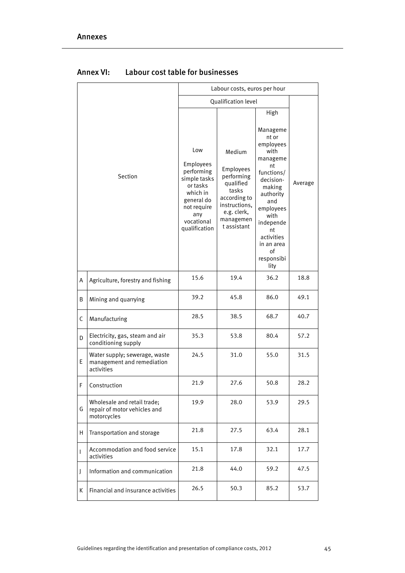|   |                                                                            |                                                                                                                                           | Labour costs, euros per hour                                                                                                        |                                                                                                                                                                                                                   |         |  |
|---|----------------------------------------------------------------------------|-------------------------------------------------------------------------------------------------------------------------------------------|-------------------------------------------------------------------------------------------------------------------------------------|-------------------------------------------------------------------------------------------------------------------------------------------------------------------------------------------------------------------|---------|--|
|   |                                                                            |                                                                                                                                           | Qualification level                                                                                                                 |                                                                                                                                                                                                                   |         |  |
|   |                                                                            |                                                                                                                                           |                                                                                                                                     | High                                                                                                                                                                                                              |         |  |
|   | Section                                                                    | Low<br>Employees<br>performing<br>simple tasks<br>or tasks<br>which in<br>general do<br>not require<br>any<br>vocational<br>qualification | Medium<br>Employees<br>performing<br>qualified<br>tasks<br>according to<br>instructions,<br>e.g. clerk,<br>managemen<br>t assistant | Manageme<br>nt or<br>employees<br>with<br>manageme<br>nt<br>functions/<br>decision-<br>making<br>authority<br>and<br>employees<br>with<br>independe<br>nt<br>activities<br>in an area<br>οf<br>responsibi<br>lity | Average |  |
| Α | Agriculture, forestry and fishing                                          | 15.6                                                                                                                                      | 19.4                                                                                                                                | 36.2                                                                                                                                                                                                              | 18.8    |  |
| B | Mining and quarrying                                                       | 39.2                                                                                                                                      | 45.8                                                                                                                                | 86.0                                                                                                                                                                                                              | 49.1    |  |
| C | Manufacturing                                                              | 28.5                                                                                                                                      | 38.5                                                                                                                                | 68.7                                                                                                                                                                                                              | 40.7    |  |
| D | Electricity, gas, steam and air<br>conditioning supply                     | 35.3                                                                                                                                      | 53.8                                                                                                                                | 80.4                                                                                                                                                                                                              | 57.2    |  |
| E | Water supply; sewerage, waste<br>management and remediation<br>activities  | 24.5                                                                                                                                      | 31.0                                                                                                                                | 55.0                                                                                                                                                                                                              | 31.5    |  |
| F | Construction                                                               | 21.9                                                                                                                                      | 27.6                                                                                                                                | 50.8                                                                                                                                                                                                              | 28.2    |  |
| G | Wholesale and retail trade;<br>repair of motor vehicles and<br>motorcycles | 19.9                                                                                                                                      | 28.0                                                                                                                                | 53.9                                                                                                                                                                                                              | 29.5    |  |
| н | Transportation and storage                                                 | 21.8                                                                                                                                      | 27.5                                                                                                                                | 63.4                                                                                                                                                                                                              | 28.1    |  |
| T | Accommodation and food service<br>activities                               | 15.1                                                                                                                                      | 17.8                                                                                                                                | 32.1                                                                                                                                                                                                              | 17.7    |  |
| J | Information and communication                                              | 21.8                                                                                                                                      | 44.0                                                                                                                                | 59.2                                                                                                                                                                                                              | 47.5    |  |
| К | Financial and insurance activities                                         | 26.5                                                                                                                                      | 50.3                                                                                                                                | 85.2                                                                                                                                                                                                              | 53.7    |  |

# Annex VI: Labour cost table for businesses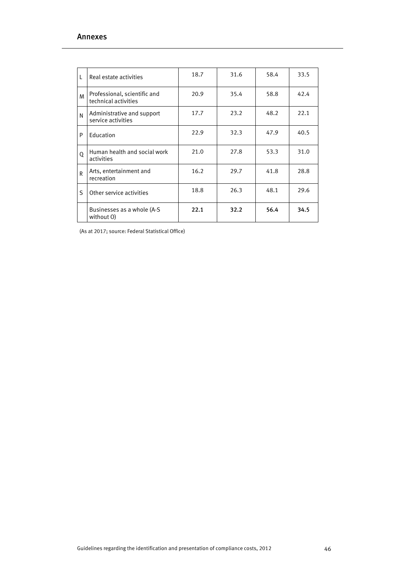|   |                                                      | 18.7 | 31.6 | 58.4 | 33.5 |
|---|------------------------------------------------------|------|------|------|------|
| L | Real estate activities                               |      |      |      |      |
| M | Professional, scientific and<br>technical activities | 20.9 | 35.4 | 58.8 | 42.4 |
| N | Administrative and support<br>service activities     | 17.7 | 23.2 | 48.2 | 22.1 |
| P | Education                                            | 22.9 | 32.3 | 47.9 | 40.5 |
| 0 | Human health and social work<br>activities           | 21.0 | 27.8 | 53.3 | 31.0 |
| R | Arts, entertainment and<br>recreation                | 16.2 | 29.7 | 41.8 | 28.8 |
| S | Other service activities                             | 18.8 | 26.3 | 48.1 | 29.6 |
|   | Businesses as a whole (A-S)<br>without O)            | 22.1 | 32.2 | 56.4 | 34.5 |

(As at 2017; source: Federal Statistical Office)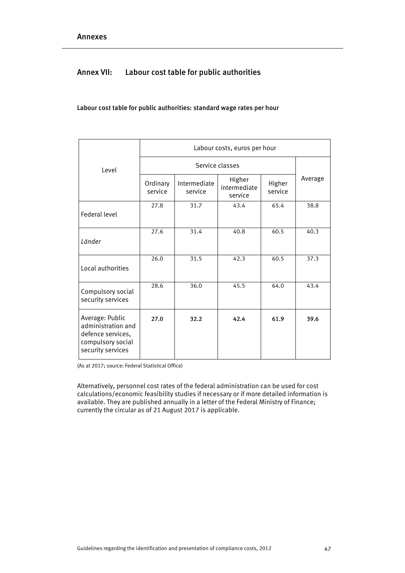# Annex VII: Labour cost table for public authorities

# Labour cost table for public authorities: standard wage rates per hour

|                                                                                                      | Labour costs, euros per hour |                         |                                   |                   |         |
|------------------------------------------------------------------------------------------------------|------------------------------|-------------------------|-----------------------------------|-------------------|---------|
| Level                                                                                                |                              |                         |                                   |                   |         |
|                                                                                                      | Ordinary<br>service          | Intermediate<br>service | Higher<br>intermediate<br>service | Higher<br>service | Average |
| <b>Federal level</b>                                                                                 | 27.8                         | 31.7                    | 43.4                              | 65.4              | 38.8    |
| Länder                                                                                               | 27.6                         | 31.4                    | 40.8                              | 60.5              | 40.3    |
| Local authorities                                                                                    | 26.0                         | 31.5                    | 42.3                              | 60.5              | 37.3    |
| Compulsory social<br>security services                                                               | 28.6                         | 36.0                    | 45.5                              | 64.0              | 43.4    |
| Average: Public<br>administration and<br>defence services,<br>compulsory social<br>security services | 27.0                         | 32.2                    | 42.4                              | 61.9              | 39.6    |

(As at 2017; source: Federal Statistical Office)

Alternatively, personnel cost rates of the federal administration can be used for cost calculations/economic feasibility studies if necessary or if more detailed information is available. They are published annually in a letter of the Federal Ministry of Finance; currently the circular as of 21 August 2017 is applicable.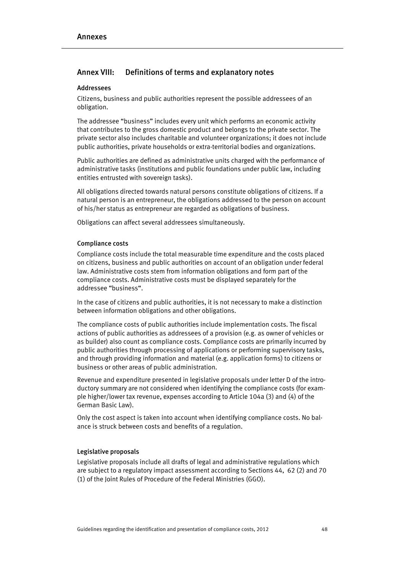# Annex VIII: Definitions of terms and explanatory notes

# Addressees

Citizens, business and public authorities represent the possible addressees of an obligation.

The addressee "business" includes every unit which performs an economic activity that contributes to the gross domestic product and belongs to the private sector. The private sector also includes charitable and volunteer organizations; it does not include public authorities, private households or extra-territorial bodies and organizations.

Public authorities are defined as administrative units charged with the performance of administrative tasks (institutions and public foundations under public law, including entities entrusted with sovereign tasks).

All obligations directed towards natural persons constitute obligations of citizens. If a natural person is an entrepreneur, the obligations addressed to the person on account of his/her status as entrepreneur are regarded as obligations of business.

Obligations can affect several addressees simultaneously.

#### Compliance costs

Compliance costs include the total measurable time expenditure and the costs placed on citizens, business and public authorities on account of an obligation under federal law. Administrative costs stem from information obligations and form part of the compliance costs. Administrative costs must be displayed separately for the addressee "business".

In the case of citizens and public authorities, it is not necessary to make a distinction between information obligations and other obligations.

The compliance costs of public authorities include implementation costs. The fiscal actions of public authorities as addressees of a provision (e.g. as owner of vehicles or as builder) also count as compliance costs. Compliance costs are primarily incurred by public authorities through processing of applications or performing supervisory tasks, and through providing information and material (e.g. application forms) to citizens or business or other areas of public administration.

Revenue and expenditure presented in legislative proposals under letter D of the introductory summary are not considered when identifying the compliance costs (for example higher/lower tax revenue, expenses according to Article 104a (3) and (4) of the German Basic Law).

Only the cost aspect is taken into account when identifying compliance costs. No balance is struck between costs and benefits of a regulation.

# Legislative proposals

Legislative proposals include all drafts of legal and administrative regulations which are subject to a regulatory impact assessment according to Sections 44, 62 (2) and 70 (1) of the Joint Rules of Procedure of the Federal Ministries (GGO).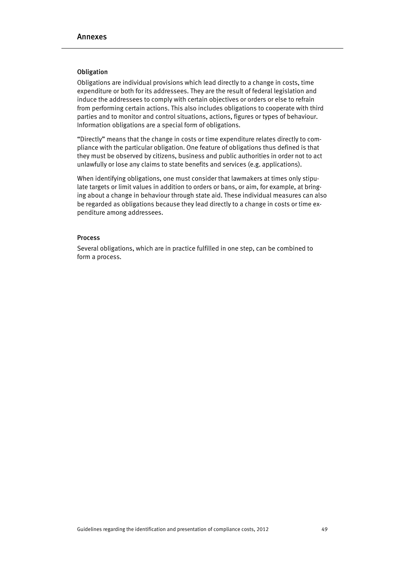# Obligation

Obligations are individual provisions which lead directly to a change in costs, time expenditure or both for its addressees. They are the result of federal legislation and induce the addressees to comply with certain objectives or orders or else to refrain from performing certain actions. This also includes obligations to cooperate with third parties and to monitor and control situations, actions, figures or types of behaviour. Information obligations are a special form of obligations.

"Directly" means that the change in costs or time expenditure relates directly to compliance with the particular obligation. One feature of obligations thus defined is that they must be observed by citizens, business and public authorities in order not to act unlawfully or lose any claims to state benefits and services (e.g. applications).

When identifying obligations, one must consider that lawmakers at times only stipulate targets or limit values in addition to orders or bans, or aim, for example, at bringing about a change in behaviour through state aid. These individual measures can also be regarded as obligations because they lead directly to a change in costs or time expenditure among addressees.

# **Process**

Several obligations, which are in practice fulfilled in one step, can be combined to form a process.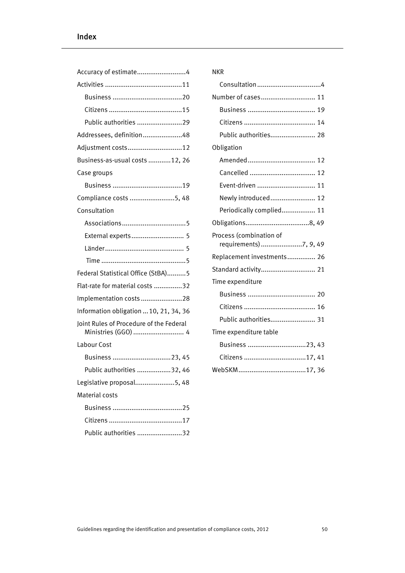| Public authorities 29                                          |
|----------------------------------------------------------------|
| Addressees, definition48                                       |
| Adjustment costs12                                             |
| Business-as-usual costs 12, 26                                 |
| Case groups                                                    |
|                                                                |
| Compliance costs 5, 48                                         |
| Consultation                                                   |
|                                                                |
| External experts 5                                             |
|                                                                |
|                                                                |
| Federal Statistical Office (StBA)5                             |
| Flat-rate for material costs 32                                |
| Implementation costs 28                                        |
| Information obligation  10, 21, 34, 36                         |
| Joint Rules of Procedure of the Federal<br>Ministries (GGO)  4 |
| Labour Cost                                                    |
| Business 23, 45                                                |
| Public authorities 32, 46                                      |
| Legislative proposal5, 48                                      |
| Material costs                                                 |
|                                                                |
|                                                                |
| Public authorities 32                                          |

# NKR

| Number of cases 11                               |  |
|--------------------------------------------------|--|
|                                                  |  |
|                                                  |  |
| Public authorities 28                            |  |
| Obligation                                       |  |
|                                                  |  |
|                                                  |  |
| Event-driven  11                                 |  |
| Newly introduced 12                              |  |
| Periodically complied 11                         |  |
|                                                  |  |
| Process (combination of<br>requirements)7, 9, 49 |  |
|                                                  |  |
| Replacement investments 26                       |  |
| Standard activity 21                             |  |
| Time expenditure                                 |  |
|                                                  |  |
|                                                  |  |
| Public authorities 31                            |  |
| Time expenditure table                           |  |
| Business 23, 43                                  |  |
| Citizens 17, 41                                  |  |